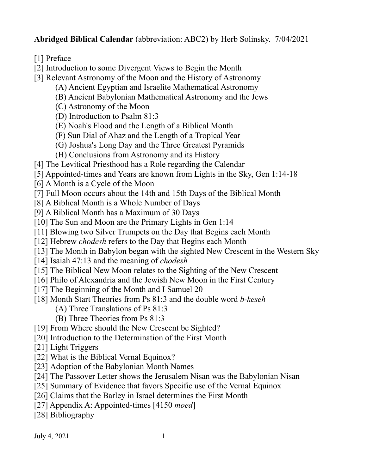**Abridged Biblical Calendar** (abbreviation: ABC2) by Herb Solinsky. 7/04/2021

[1] Preface

[2] Introduction to some Divergent Views to Begin the Month

- [3] Relevant Astronomy of the Moon and the History of Astronomy
	- (A) Ancient Egyptian and Israelite Mathematical Astronomy
	- (B) Ancient Babylonian Mathematical Astronomy and the Jews
	- (C) Astronomy of the Moon
	- (D) Introduction to Psalm 81:3
	- (E) Noah's Flood and the Length of a Biblical Month
	- (F) Sun Dial of Ahaz and the Length of a Tropical Year
	- (G) Joshua's Long Day and the Three Greatest Pyramids
	- (H) Conclusions from Astronomy and its History
- [4] The Levitical Priesthood has a Role regarding the Calendar
- [5] Appointed-times and Years are known from Lights in the Sky, Gen 1:14-18
- [6] A Month is a Cycle of the Moon
- [7] Full Moon occurs about the 14th and 15th Days of the Biblical Month
- [8] A Biblical Month is a Whole Number of Days
- [9] A Biblical Month has a Maximum of 30 Days
- [10] The Sun and Moon are the Primary Lights in Gen 1:14
- [11] Blowing two Silver Trumpets on the Day that Begins each Month
- [12] Hebrew *chodesh* refers to the Day that Begins each Month
- [13] The Month in Babylon began with the sighted New Crescent in the Western Sky
- [14] Isaiah 47:13 and the meaning of *chodesh*
- [15] The Biblical New Moon relates to the Sighting of the New Crescent
- [16] Philo of Alexandria and the Jewish New Moon in the First Century
- [17] The Beginning of the Month and I Samuel 20
- [18] Month Start Theories from Ps 81:3 and the double word *b-keseh*
	- (A) Three Translations of Ps 81:3
	- (B) Three Theories from Ps 81:3
- [19] From Where should the New Crescent be Sighted?
- [20] Introduction to the Determination of the First Month
- [21] Light Triggers
- [22] What is the Biblical Vernal Equinox?
- [23] Adoption of the Babylonian Month Names
- [24] The Passover Letter shows the Jerusalem Nisan was the Babylonian Nisan
- [25] Summary of Evidence that favors Specific use of the Vernal Equinox
- [26] Claims that the Barley in Israel determines the First Month
- [27] Appendix A: Appointed-times [4150 *moed*]
- [28] Bibliography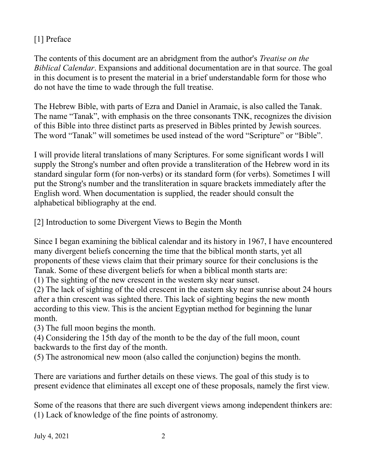# [1] Preface

The contents of this document are an abridgment from the author's *Treatise on the Biblical Calendar*. Expansions and additional documentation are in that source. The goal in this document is to present the material in a brief understandable form for those who do not have the time to wade through the full treatise.

The Hebrew Bible, with parts of Ezra and Daniel in Aramaic, is also called the Tanak. The name "Tanak", with emphasis on the three consonants TNK, recognizes the division of this Bible into three distinct parts as preserved in Bibles printed by Jewish sources. The word "Tanak" will sometimes be used instead of the word "Scripture" or "Bible".

I will provide literal translations of many Scriptures. For some significant words I will supply the Strong's number and often provide a transliteration of the Hebrew word in its standard singular form (for non-verbs) or its standard form (for verbs). Sometimes I will put the Strong's number and the transliteration in square brackets immediately after the English word. When documentation is supplied, the reader should consult the alphabetical bibliography at the end.

[2] Introduction to some Divergent Views to Begin the Month

Since I began examining the biblical calendar and its history in 1967, I have encountered many divergent beliefs concerning the time that the biblical month starts, yet all proponents of these views claim that their primary source for their conclusions is the Tanak. Some of these divergent beliefs for when a biblical month starts are:

(1) The sighting of the new crescent in the western sky near sunset.

(2) The lack of sighting of the old crescent in the eastern sky near sunrise about 24 hours after a thin crescent was sighted there. This lack of sighting begins the new month according to this view. This is the ancient Egyptian method for beginning the lunar month.

(3) The full moon begins the month.

(4) Considering the 15th day of the month to be the day of the full moon, count backwards to the first day of the month.

(5) The astronomical new moon (also called the conjunction) begins the month.

There are variations and further details on these views. The goal of this study is to present evidence that eliminates all except one of these proposals, namely the first view.

Some of the reasons that there are such divergent views among independent thinkers are: (1) Lack of knowledge of the fine points of astronomy.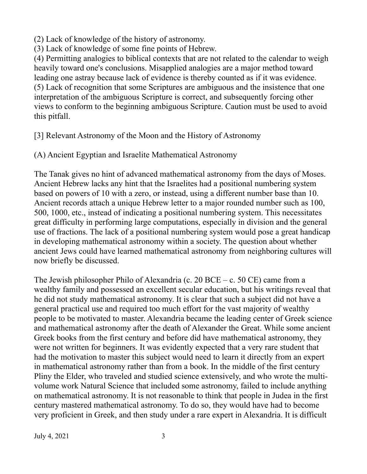(2) Lack of knowledge of the history of astronomy.

(3) Lack of knowledge of some fine points of Hebrew.

(4) Permitting analogies to biblical contexts that are not related to the calendar to weigh heavily toward one's conclusions. Misapplied analogies are a major method toward leading one astray because lack of evidence is thereby counted as if it was evidence. (5) Lack of recognition that some Scriptures are ambiguous and the insistence that one interpretation of the ambiguous Scripture is correct, and subsequently forcing other views to conform to the beginning ambiguous Scripture. Caution must be used to avoid this pitfall.

[3] Relevant Astronomy of the Moon and the History of Astronomy

(A) Ancient Egyptian and Israelite Mathematical Astronomy

The Tanak gives no hint of advanced mathematical astronomy from the days of Moses. Ancient Hebrew lacks any hint that the Israelites had a positional numbering system based on powers of 10 with a zero, or instead, using a different number base than 10. Ancient records attach a unique Hebrew letter to a major rounded number such as 100, 500, 1000, etc., instead of indicating a positional numbering system. This necessitates great difficulty in performing large computations, especially in division and the general use of fractions. The lack of a positional numbering system would pose a great handicap in developing mathematical astronomy within a society. The question about whether ancient Jews could have learned mathematical astronomy from neighboring cultures will now briefly be discussed.

The Jewish philosopher Philo of Alexandria (c. 20 BCE – c. 50 CE) came from a wealthy family and possessed an excellent secular education, but his writings reveal that he did not study mathematical astronomy. It is clear that such a subject did not have a general practical use and required too much effort for the vast majority of wealthy people to be motivated to master. Alexandria became the leading center of Greek science and mathematical astronomy after the death of Alexander the Great. While some ancient Greek books from the first century and before did have mathematical astronomy, they were not written for beginners. It was evidently expected that a very rare student that had the motivation to master this subject would need to learn it directly from an expert in mathematical astronomy rather than from a book. In the middle of the first century Pliny the Elder, who traveled and studied science extensively, and who wrote the multivolume work Natural Science that included some astronomy, failed to include anything on mathematical astronomy. It is not reasonable to think that people in Judea in the first century mastered mathematical astronomy. To do so, they would have had to become very proficient in Greek, and then study under a rare expert in Alexandria. It is difficult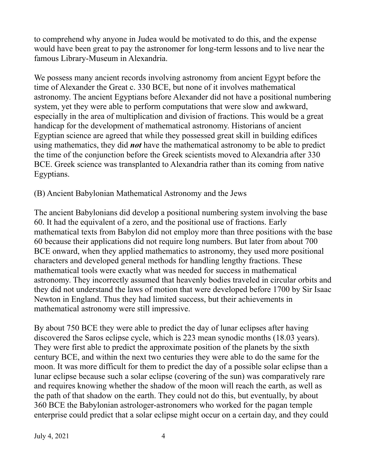to comprehend why anyone in Judea would be motivated to do this, and the expense would have been great to pay the astronomer for long-term lessons and to live near the famous Library-Museum in Alexandria.

We possess many ancient records involving astronomy from ancient Egypt before the time of Alexander the Great c. 330 BCE, but none of it involves mathematical astronomy. The ancient Egyptians before Alexander did not have a positional numbering system, yet they were able to perform computations that were slow and awkward, especially in the area of multiplication and division of fractions. This would be a great handicap for the development of mathematical astronomy. Historians of ancient Egyptian science are agreed that while they possessed great skill in building edifices using mathematics, they did *not* have the mathematical astronomy to be able to predict the time of the conjunction before the Greek scientists moved to Alexandria after 330 BCE. Greek science was transplanted to Alexandria rather than its coming from native Egyptians.

## (B) Ancient Babylonian Mathematical Astronomy and the Jews

The ancient Babylonians did develop a positional numbering system involving the base 60. It had the equivalent of a zero, and the positional use of fractions. Early mathematical texts from Babylon did not employ more than three positions with the base 60 because their applications did not require long numbers. But later from about 700 BCE onward, when they applied mathematics to astronomy, they used more positional characters and developed general methods for handling lengthy fractions. These mathematical tools were exactly what was needed for success in mathematical astronomy. They incorrectly assumed that heavenly bodies traveled in circular orbits and they did not understand the laws of motion that were developed before 1700 by Sir Isaac Newton in England. Thus they had limited success, but their achievements in mathematical astronomy were still impressive.

By about 750 BCE they were able to predict the day of lunar eclipses after having discovered the Saros eclipse cycle, which is 223 mean synodic months (18.03 years). They were first able to predict the approximate position of the planets by the sixth century BCE, and within the next two centuries they were able to do the same for the moon. It was more difficult for them to predict the day of a possible solar eclipse than a lunar eclipse because such a solar eclipse (covering of the sun) was comparatively rare and requires knowing whether the shadow of the moon will reach the earth, as well as the path of that shadow on the earth. They could not do this, but eventually, by about 360 BCE the Babylonian astrologer-astronomers who worked for the pagan temple enterprise could predict that a solar eclipse might occur on a certain day, and they could

July 4, 2021  $\frac{4}{3}$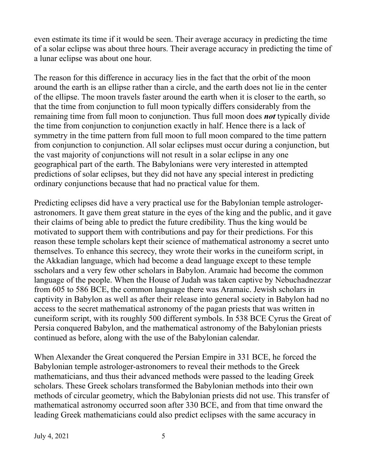even estimate its time if it would be seen. Their average accuracy in predicting the time of a solar eclipse was about three hours. Their average accuracy in predicting the time of a lunar eclipse was about one hour.

The reason for this difference in accuracy lies in the fact that the orbit of the moon around the earth is an ellipse rather than a circle, and the earth does not lie in the center of the ellipse. The moon travels faster around the earth when it is closer to the earth, so that the time from conjunction to full moon typically differs considerably from the remaining time from full moon to conjunction. Thus full moon does *not* typically divide the time from conjunction to conjunction exactly in half. Hence there is a lack of symmetry in the time pattern from full moon to full moon compared to the time pattern from conjunction to conjunction. All solar eclipses must occur during a conjunction, but the vast majority of conjunctions will not result in a solar eclipse in any one geographical part of the earth. The Babylonians were very interested in attempted predictions of solar eclipses, but they did not have any special interest in predicting ordinary conjunctions because that had no practical value for them.

Predicting eclipses did have a very practical use for the Babylonian temple astrologerastronomers. It gave them great stature in the eyes of the king and the public, and it gave their claims of being able to predict the future credibility. Thus the king would be motivated to support them with contributions and pay for their predictions. For this reason these temple scholars kept their science of mathematical astronomy a secret unto themselves. To enhance this secrecy, they wrote their works in the cuneiform script, in the Akkadian language, which had become a dead language except to these temple sscholars and a very few other scholars in Babylon. Aramaic had become the common language of the people. When the House of Judah was taken captive by Nebuchadnezzar from 605 to 586 BCE, the common language there was Aramaic. Jewish scholars in captivity in Babylon as well as after their release into general society in Babylon had no access to the secret mathematical astronomy of the pagan priests that was written in cuneiform script, with its roughly 500 different symbols. In 538 BCE Cyrus the Great of Persia conquered Babylon, and the mathematical astronomy of the Babylonian priests continued as before, along with the use of the Babylonian calendar.

When Alexander the Great conquered the Persian Empire in 331 BCE, he forced the Babylonian temple astrologer-astronomers to reveal their methods to the Greek mathematicians, and thus their advanced methods were passed to the leading Greek scholars. These Greek scholars transformed the Babylonian methods into their own methods of circular geometry, which the Babylonian priests did not use. This transfer of mathematical astronomy occurred soon after 330 BCE, and from that time onward the leading Greek mathematicians could also predict eclipses with the same accuracy in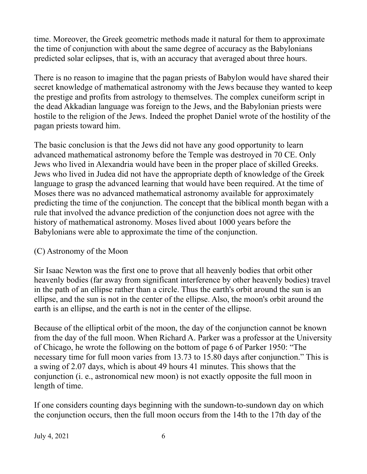time. Moreover, the Greek geometric methods made it natural for them to approximate the time of conjunction with about the same degree of accuracy as the Babylonians predicted solar eclipses, that is, with an accuracy that averaged about three hours.

There is no reason to imagine that the pagan priests of Babylon would have shared their secret knowledge of mathematical astronomy with the Jews because they wanted to keep the prestige and profits from astrology to themselves. The complex cuneiform script in the dead Akkadian language was foreign to the Jews, and the Babylonian priests were hostile to the religion of the Jews. Indeed the prophet Daniel wrote of the hostility of the pagan priests toward him.

The basic conclusion is that the Jews did not have any good opportunity to learn advanced mathematical astronomy before the Temple was destroyed in 70 CE. Only Jews who lived in Alexandria would have been in the proper place of skilled Greeks. Jews who lived in Judea did not have the appropriate depth of knowledge of the Greek language to grasp the advanced learning that would have been required. At the time of Moses there was no advanced mathematical astronomy available for approximately predicting the time of the conjunction. The concept that the biblical month began with a rule that involved the advance prediction of the conjunction does not agree with the history of mathematical astronomy. Moses lived about 1000 years before the Babylonians were able to approximate the time of the conjunction.

## (C) Astronomy of the Moon

Sir Isaac Newton was the first one to prove that all heavenly bodies that orbit other heavenly bodies (far away from significant interference by other heavenly bodies) travel in the path of an ellipse rather than a circle. Thus the earth's orbit around the sun is an ellipse, and the sun is not in the center of the ellipse. Also, the moon's orbit around the earth is an ellipse, and the earth is not in the center of the ellipse.

Because of the elliptical orbit of the moon, the day of the conjunction cannot be known from the day of the full moon. When Richard A. Parker was a professor at the University of Chicago, he wrote the following on the bottom of page 6 of Parker 1950: "The necessary time for full moon varies from 13.73 to 15.80 days after conjunction." This is a swing of 2.07 days, which is about 49 hours 41 minutes. This shows that the conjunction (i. e., astronomical new moon) is not exactly opposite the full moon in length of time.

If one considers counting days beginning with the sundown-to-sundown day on which the conjunction occurs, then the full moon occurs from the 14th to the 17th day of the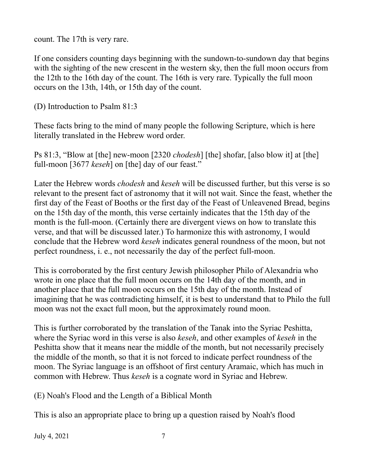count. The 17th is very rare.

If one considers counting days beginning with the sundown-to-sundown day that begins with the sighting of the new crescent in the western sky, then the full moon occurs from the 12th to the 16th day of the count. The 16th is very rare. Typically the full moon occurs on the 13th, 14th, or 15th day of the count.

(D) Introduction to Psalm 81:3

These facts bring to the mind of many people the following Scripture, which is here literally translated in the Hebrew word order.

Ps 81:3, "Blow at [the] new-moon [2320 *chodesh*] [the] shofar, [also blow it] at [the] full-moon [3677 *keseh*] on [the] day of our feast."

Later the Hebrew words *chodesh* and *keseh* will be discussed further, but this verse is so relevant to the present fact of astronomy that it will not wait. Since the feast, whether the first day of the Feast of Booths or the first day of the Feast of Unleavened Bread, begins on the 15th day of the month, this verse certainly indicates that the 15th day of the month is the full-moon. (Certainly there are divergent views on how to translate this verse, and that will be discussed later.) To harmonize this with astronomy, I would conclude that the Hebrew word *keseh* indicates general roundness of the moon, but not perfect roundness, i. e., not necessarily the day of the perfect full-moon.

This is corroborated by the first century Jewish philosopher Philo of Alexandria who wrote in one place that the full moon occurs on the 14th day of the month, and in another place that the full moon occurs on the 15th day of the month. Instead of imagining that he was contradicting himself, it is best to understand that to Philo the full moon was not the exact full moon, but the approximately round moon.

This is further corroborated by the translation of the Tanak into the Syriac Peshitta, where the Syriac word in this verse is also *keseh*, and other examples of *keseh* in the Peshitta show that it means near the middle of the month, but not necessarily precisely the middle of the month, so that it is not forced to indicate perfect roundness of the moon. The Syriac language is an offshoot of first century Aramaic, which has much in common with Hebrew. Thus *keseh* is a cognate word in Syriac and Hebrew.

(E) Noah's Flood and the Length of a Biblical Month

This is also an appropriate place to bring up a question raised by Noah's flood

July 4, 2021  $\frac{7}{7}$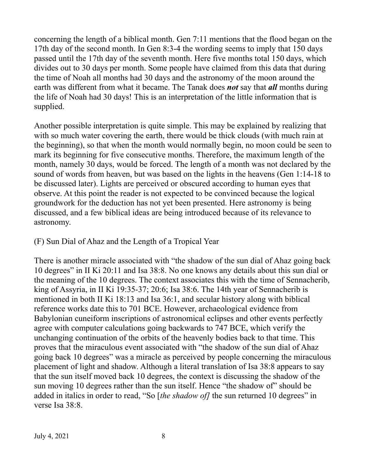concerning the length of a biblical month. Gen 7:11 mentions that the flood began on the 17th day of the second month. In Gen 8:3-4 the wording seems to imply that 150 days passed until the 17th day of the seventh month. Here five months total 150 days, which divides out to 30 days per month. Some people have claimed from this data that during the time of Noah all months had 30 days and the astronomy of the moon around the earth was different from what it became. The Tanak does *not* say that *all* months during the life of Noah had 30 days! This is an interpretation of the little information that is supplied.

Another possible interpretation is quite simple. This may be explained by realizing that with so much water covering the earth, there would be thick clouds (with much rain at the beginning), so that when the month would normally begin, no moon could be seen to mark its beginning for five consecutive months. Therefore, the maximum length of the month, namely 30 days, would be forced. The length of a month was not declared by the sound of words from heaven, but was based on the lights in the heavens (Gen 1:14-18 to be discussed later). Lights are perceived or obscured according to human eyes that observe. At this point the reader is not expected to be convinced because the logical groundwork for the deduction has not yet been presented. Here astronomy is being discussed, and a few biblical ideas are being introduced because of its relevance to astronomy.

## (F) Sun Dial of Ahaz and the Length of a Tropical Year

There is another miracle associated with "the shadow of the sun dial of Ahaz going back 10 degrees" in II Ki 20:11 and Isa 38:8. No one knows any details about this sun dial or the meaning of the 10 degrees. The context associates this with the time of Sennacherib, king of Assyria, in II Ki 19:35-37; 20:6; Isa 38:6. The 14th year of Sennacherib is mentioned in both II Ki 18:13 and Isa 36:1, and secular history along with biblical reference works date this to 701 BCE. However, archaeological evidence from Babylonian cuneiform inscriptions of astronomical eclipses and other events perfectly agree with computer calculations going backwards to 747 BCE, which verify the unchanging continuation of the orbits of the heavenly bodies back to that time. This proves that the miraculous event associated with "the shadow of the sun dial of Ahaz going back 10 degrees" was a miracle as perceived by people concerning the miraculous placement of light and shadow. Although a literal translation of Isa 38:8 appears to say that the sun itself moved back 10 degrees, the context is discussing the shadow of the sun moving 10 degrees rather than the sun itself. Hence "the shadow of" should be added in italics in order to read, "So [*the shadow of*] the sun returned 10 degrees" in verse Isa 38:8.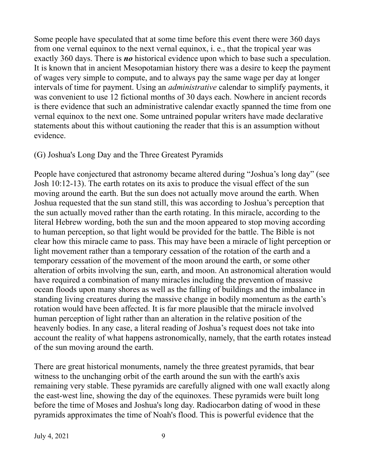Some people have speculated that at some time before this event there were 360 days from one vernal equinox to the next vernal equinox, i. e., that the tropical year was exactly 360 days. There is *no* historical evidence upon which to base such a speculation. It is known that in ancient Mesopotamian history there was a desire to keep the payment of wages very simple to compute, and to always pay the same wage per day at longer intervals of time for payment. Using an *administrative* calendar to simplify payments, it was convenient to use 12 fictional months of 30 days each. Nowhere in ancient records is there evidence that such an administrative calendar exactly spanned the time from one vernal equinox to the next one. Some untrained popular writers have made declarative statements about this without cautioning the reader that this is an assumption without evidence.

#### (G) Joshua's Long Day and the Three Greatest Pyramids

People have conjectured that astronomy became altered during "Joshua's long day" (see Josh 10:12-13). The earth rotates on its axis to produce the visual effect of the sun moving around the earth. But the sun does not actually move around the earth. When Joshua requested that the sun stand still, this was according to Joshua's perception that the sun actually moved rather than the earth rotating. In this miracle, according to the literal Hebrew wording, both the sun and the moon appeared to stop moving according to human perception, so that light would be provided for the battle. The Bible is not clear how this miracle came to pass. This may have been a miracle of light perception or light movement rather than a temporary cessation of the rotation of the earth and a temporary cessation of the movement of the moon around the earth, or some other alteration of orbits involving the sun, earth, and moon. An astronomical alteration would have required a combination of many miracles including the prevention of massive ocean floods upon many shores as well as the falling of buildings and the imbalance in standing living creatures during the massive change in bodily momentum as the earth's rotation would have been affected. It is far more plausible that the miracle involved human perception of light rather than an alteration in the relative position of the heavenly bodies. In any case, a literal reading of Joshua's request does not take into account the reality of what happens astronomically, namely, that the earth rotates instead of the sun moving around the earth.

There are great historical monuments, namely the three greatest pyramids, that bear witness to the unchanging orbit of the earth around the sun with the earth's axis remaining very stable. These pyramids are carefully aligned with one wall exactly along the east-west line, showing the day of the equinoxes. These pyramids were built long before the time of Moses and Joshua's long day. Radiocarbon dating of wood in these pyramids approximates the time of Noah's flood. This is powerful evidence that the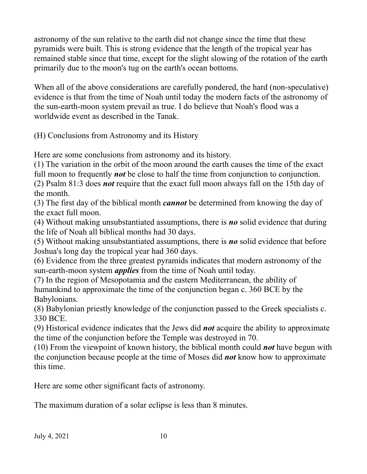astronomy of the sun relative to the earth did not change since the time that these pyramids were built. This is strong evidence that the length of the tropical year has remained stable since that time, except for the slight slowing of the rotation of the earth primarily due to the moon's tug on the earth's ocean bottoms.

When all of the above considerations are carefully pondered, the hard (non-speculative) evidence is that from the time of Noah until today the modern facts of the astronomy of the sun-earth-moon system prevail as true. I do believe that Noah's flood was a worldwide event as described in the Tanak.

(H) Conclusions from Astronomy and its History

Here are some conclusions from astronomy and its history.

(1) The variation in the orbit of the moon around the earth causes the time of the exact full moon to frequently *not* be close to half the time from conjunction to conjunction.

(2) Psalm 81:3 does *not* require that the exact full moon always fall on the 15th day of the month.

(3) The first day of the biblical month *cannot* be determined from knowing the day of the exact full moon.

(4) Without making unsubstantiated assumptions, there is *no* solid evidence that during the life of Noah all biblical months had 30 days.

(5) Without making unsubstantiated assumptions, there is *no* solid evidence that before Joshua's long day the tropical year had 360 days.

(6) Evidence from the three greatest pyramids indicates that modern astronomy of the sun-earth-moon system *applies* from the time of Noah until today.

(7) In the region of Mesopotamia and the eastern Mediterranean, the ability of humankind to approximate the time of the conjunction began c. 360 BCE by the Babylonians.

(8) Babylonian priestly knowledge of the conjunction passed to the Greek specialists c. 330 BCE.

(9) Historical evidence indicates that the Jews did *not* acquire the ability to approximate the time of the conjunction before the Temple was destroyed in 70.

(10) From the viewpoint of known history, the biblical month could *not* have begun with the conjunction because people at the time of Moses did *not* know how to approximate this time.

Here are some other significant facts of astronomy.

The maximum duration of a solar eclipse is less than 8 minutes.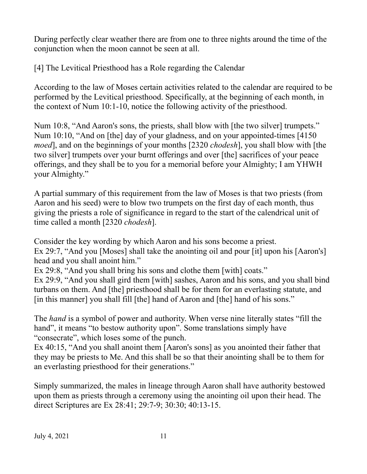During perfectly clear weather there are from one to three nights around the time of the conjunction when the moon cannot be seen at all.

[4] The Levitical Priesthood has a Role regarding the Calendar

According to the law of Moses certain activities related to the calendar are required to be performed by the Levitical priesthood. Specifically, at the beginning of each month, in the context of Num 10:1-10, notice the following activity of the priesthood.

Num 10:8, "And Aaron's sons, the priests, shall blow with [the two silver] trumpets." Num 10:10, "And on [the] day of your gladness, and on your appointed-times [4150 *moed*], and on the beginnings of your months [2320 *chodesh*], you shall blow with [the two silver] trumpets over your burnt offerings and over [the] sacrifices of your peace offerings, and they shall be to you for a memorial before your Almighty; I am YHWH your Almighty."

A partial summary of this requirement from the law of Moses is that two priests (from Aaron and his seed) were to blow two trumpets on the first day of each month, thus giving the priests a role of significance in regard to the start of the calendrical unit of time called a month [2320 *chodesh*].

Consider the key wording by which Aaron and his sons become a priest. Ex 29:7, "And you [Moses] shall take the anointing oil and pour [it] upon his [Aaron's] head and you shall anoint him."

Ex 29:8, "And you shall bring his sons and clothe them [with] coats."

Ex 29:9, "And you shall gird them [with] sashes, Aaron and his sons, and you shall bind turbans on them. And [the] priesthood shall be for them for an everlasting statute, and [in this manner] you shall fill [the] hand of Aaron and [the] hand of his sons."

The *hand* is a symbol of power and authority. When verse nine literally states "fill the hand", it means "to bestow authority upon". Some translations simply have "consecrate", which loses some of the punch.

Ex 40:15, "And you shall anoint them [Aaron's sons] as you anointed their father that they may be priests to Me. And this shall be so that their anointing shall be to them for an everlasting priesthood for their generations."

Simply summarized, the males in lineage through Aaron shall have authority bestowed upon them as priests through a ceremony using the anointing oil upon their head. The direct Scriptures are Ex 28:41; 29:7-9; 30:30; 40:13-15.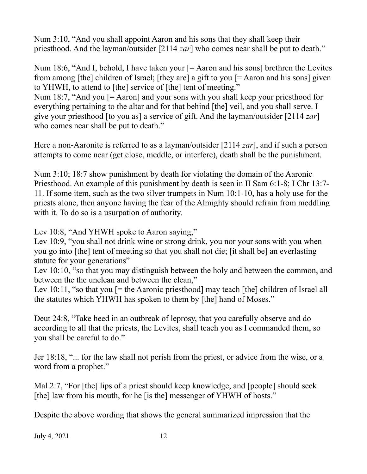Num 3:10, "And you shall appoint Aaron and his sons that they shall keep their priesthood. And the layman/outsider [2114 *zar*] who comes near shall be put to death."

Num 18:6, "And I, behold, I have taken your  $[=$  Aaron and his sons] brethren the Levites from among [the] children of Israel; [they are] a gift to you [= Aaron and his sons] given to YHWH, to attend to [the] service of [the] tent of meeting." Num 18:7, "And you [= Aaron] and your sons with you shall keep your priesthood for everything pertaining to the altar and for that behind [the] veil, and you shall serve. I give your priesthood [to you as] a service of gift. And the layman/outsider [2114 *zar*] who comes near shall be put to death."

Here a non-Aaronite is referred to as a layman/outsider [2114 *zar*], and if such a person attempts to come near (get close, meddle, or interfere), death shall be the punishment.

Num 3:10; 18:7 show punishment by death for violating the domain of the Aaronic Priesthood. An example of this punishment by death is seen in II Sam 6:1-8; I Chr 13:7- 11. If some item, such as the two silver trumpets in Num 10:1-10, has a holy use for the priests alone, then anyone having the fear of the Almighty should refrain from meddling with it. To do so is a usurpation of authority.

Lev 10:8, "And YHWH spoke to Aaron saying,"

Lev 10:9, "you shall not drink wine or strong drink, you nor your sons with you when you go into [the] tent of meeting so that you shall not die; [it shall be] an everlasting statute for your generations"

Lev 10:10, "so that you may distinguish between the holy and between the common, and between the the unclean and between the clean,"

Lev 10:11, "so that you  $F$  = the Aaronic priesthood may teach  $F$  [the] children of Israel all the statutes which YHWH has spoken to them by [the] hand of Moses."

Deut 24:8, "Take heed in an outbreak of leprosy, that you carefully observe and do according to all that the priests, the Levites, shall teach you as I commanded them, so you shall be careful to do."

Jer 18:18, "... for the law shall not perish from the priest, or advice from the wise, or a word from a prophet."

Mal 2:7, "For [the] lips of a priest should keep knowledge, and [people] should seek [the] law from his mouth, for he [is the] messenger of YHWH of hosts."

Despite the above wording that shows the general summarized impression that the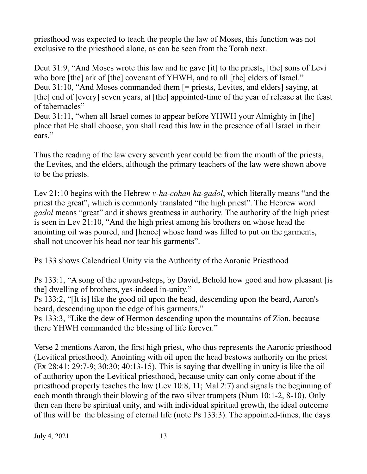priesthood was expected to teach the people the law of Moses, this function was not exclusive to the priesthood alone, as can be seen from the Torah next.

Deut 31:9, "And Moses wrote this law and he gave [it] to the priests, [the] sons of Levi who bore [the] ark of [the] covenant of YHWH, and to all [the] elders of Israel." Deut 31:10, "And Moses commanded them [= priests, Levites, and elders] saying, at [the] end of [every] seven years, at [the] appointed-time of the year of release at the feast of tabernacles"

Deut 31:11, "when all Israel comes to appear before YHWH your Almighty in [the] place that He shall choose, you shall read this law in the presence of all Israel in their ears."

Thus the reading of the law every seventh year could be from the mouth of the priests, the Levites, and the elders, although the primary teachers of the law were shown above to be the priests.

Lev 21:10 begins with the Hebrew *v-ha-cohan ha-gadol*, which literally means "and the priest the great", which is commonly translated "the high priest". The Hebrew word *gadol* means "great" and it shows greatness in authority. The authority of the high priest is seen in Lev 21:10, "And the high priest among his brothers on whose head the anointing oil was poured, and [hence] whose hand was filled to put on the garments, shall not uncover his head nor tear his garments".

Ps 133 shows Calendrical Unity via the Authority of the Aaronic Priesthood

Ps 133:1, "A song of the upward-steps, by David, Behold how good and how pleasant [is the] dwelling of brothers, yes-indeed in-unity."

Ps 133:2, "[It is] like the good oil upon the head, descending upon the beard, Aaron's beard, descending upon the edge of his garments."

Ps 133:3, "Like the dew of Hermon descending upon the mountains of Zion, because there YHWH commanded the blessing of life forever."

Verse 2 mentions Aaron, the first high priest, who thus represents the Aaronic priesthood (Levitical priesthood). Anointing with oil upon the head bestows authority on the priest (Ex 28:41; 29:7-9; 30:30; 40:13-15). This is saying that dwelling in unity is like the oil of authority upon the Levitical priesthood, because unity can only come about if the priesthood properly teaches the law (Lev 10:8, 11; Mal 2:7) and signals the beginning of each month through their blowing of the two silver trumpets (Num 10:1-2, 8-10). Only then can there be spiritual unity, and with individual spiritual growth, the ideal outcome of this will be the blessing of eternal life (note Ps 133:3). The appointed-times, the days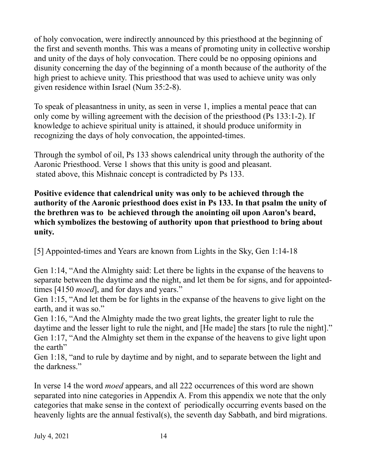of holy convocation, were indirectly announced by this priesthood at the beginning of the first and seventh months. This was a means of promoting unity in collective worship and unity of the days of holy convocation. There could be no opposing opinions and disunity concerning the day of the beginning of a month because of the authority of the high priest to achieve unity. This priesthood that was used to achieve unity was only given residence within Israel (Num 35:2-8).

To speak of pleasantness in unity, as seen in verse 1, implies a mental peace that can only come by willing agreement with the decision of the priesthood (Ps 133:1-2). If knowledge to achieve spiritual unity is attained, it should produce uniformity in recognizing the days of holy convocation, the appointed-times.

Through the symbol of oil, Ps 133 shows calendrical unity through the authority of the Aaronic Priesthood. Verse 1 shows that this unity is good and pleasant. stated above, this Mishnaic concept is contradicted by Ps 133.

**Positive evidence that calendrical unity was only to be achieved through the authority of the Aaronic priesthood does exist in Ps 133. In that psalm the unity of the brethren was to be achieved through the anointing oil upon Aaron's beard, which symbolizes the bestowing of authority upon that priesthood to bring about unity.**

[5] Appointed-times and Years are known from Lights in the Sky, Gen 1:14-18

Gen 1:14, "And the Almighty said: Let there be lights in the expanse of the heavens to separate between the daytime and the night, and let them be for signs, and for appointedtimes [4150 *moed*], and for days and years."

Gen 1:15, "And let them be for lights in the expanse of the heavens to give light on the earth, and it was so."

Gen 1:16, "And the Almighty made the two great lights, the greater light to rule the daytime and the lesser light to rule the night, and [He made] the stars [to rule the night]." Gen 1:17, "And the Almighty set them in the expanse of the heavens to give light upon the earth"

Gen 1:18, "and to rule by daytime and by night, and to separate between the light and the darkness."

In verse 14 the word *moed* appears, and all 222 occurrences of this word are shown separated into nine categories in Appendix A. From this appendix we note that the only categories that make sense in the context of periodically occurring events based on the heavenly lights are the annual festival(s), the seventh day Sabbath, and bird migrations.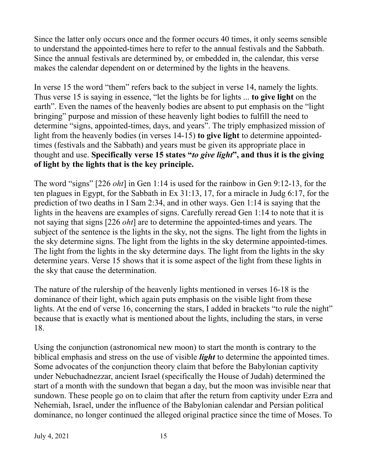Since the latter only occurs once and the former occurs 40 times, it only seems sensible to understand the appointed-times here to refer to the annual festivals and the Sabbath. Since the annual festivals are determined by, or embedded in, the calendar, this verse makes the calendar dependent on or determined by the lights in the heavens.

In verse 15 the word "them" refers back to the subject in verse 14, namely the lights. Thus verse 15 is saying in essence, "let the lights be for lights ... **to give light** on the earth". Even the names of the heavenly bodies are absent to put emphasis on the "light bringing" purpose and mission of these heavenly light bodies to fulfill the need to determine "signs, appointed-times, days, and years". The triply emphasized mission of light from the heavenly bodies (in verses 14-15) **to give light** to determine appointedtimes (festivals and the Sabbath) and years must be given its appropriate place in thought and use. **Specifically verse 15 states "***to give light***", and thus it is the giving of light by the lights that is the key principle.**

The word "signs" [226 *oht*] in Gen 1:14 is used for the rainbow in Gen 9:12-13, for the ten plagues in Egypt, for the Sabbath in Ex 31:13, 17, for a miracle in Judg 6:17, for the prediction of two deaths in I Sam 2:34, and in other ways. Gen 1:14 is saying that the lights in the heavens are examples of signs. Carefully reread Gen 1:14 to note that it is not saying that signs [226 *oht*] are to determine the appointed-times and years. The subject of the sentence is the lights in the sky, not the signs. The light from the lights in the sky determine signs. The light from the lights in the sky determine appointed-times. The light from the lights in the sky determine days. The light from the lights in the sky determine years. Verse 15 shows that it is some aspect of the light from these lights in the sky that cause the determination.

The nature of the rulership of the heavenly lights mentioned in verses 16-18 is the dominance of their light, which again puts emphasis on the visible light from these lights. At the end of verse 16, concerning the stars, I added in brackets "to rule the night" because that is exactly what is mentioned about the lights, including the stars, in verse 18.

Using the conjunction (astronomical new moon) to start the month is contrary to the biblical emphasis and stress on the use of visible *light* to determine the appointed times. Some advocates of the conjunction theory claim that before the Babylonian captivity under Nebuchadnezzar, ancient Israel (specifically the House of Judah) determined the start of a month with the sundown that began a day, but the moon was invisible near that sundown. These people go on to claim that after the return from captivity under Ezra and Nehemiah, Israel, under the influence of the Babylonian calendar and Persian political dominance, no longer continued the alleged original practice since the time of Moses. To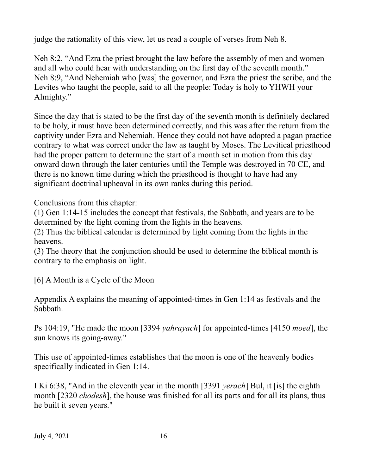judge the rationality of this view, let us read a couple of verses from Neh 8.

Neh 8:2, "And Ezra the priest brought the law before the assembly of men and women and all who could hear with understanding on the first day of the seventh month." Neh 8:9, "And Nehemiah who [was] the governor, and Ezra the priest the scribe, and the Levites who taught the people, said to all the people: Today is holy to YHWH your Almighty."

Since the day that is stated to be the first day of the seventh month is definitely declared to be holy, it must have been determined correctly, and this was after the return from the captivity under Ezra and Nehemiah. Hence they could not have adopted a pagan practice contrary to what was correct under the law as taught by Moses. The Levitical priesthood had the proper pattern to determine the start of a month set in motion from this day onward down through the later centuries until the Temple was destroyed in 70 CE, and there is no known time during which the priesthood is thought to have had any significant doctrinal upheaval in its own ranks during this period.

Conclusions from this chapter:

(1) Gen 1:14-15 includes the concept that festivals, the Sabbath, and years are to be determined by the light coming from the lights in the heavens.

(2) Thus the biblical calendar is determined by light coming from the lights in the heavens.

(3) The theory that the conjunction should be used to determine the biblical month is contrary to the emphasis on light.

[6] A Month is a Cycle of the Moon

Appendix A explains the meaning of appointed-times in Gen 1:14 as festivals and the Sabbath.

Ps 104:19, "He made the moon [3394 *yahrayach*] for appointed-times [4150 *moed*], the sun knows its going-away."

This use of appointed-times establishes that the moon is one of the heavenly bodies specifically indicated in Gen 1:14.

I Ki 6:38, "And in the eleventh year in the month [3391 *yerach*] Bul, it [is] the eighth month [2320 *chodesh*], the house was finished for all its parts and for all its plans, thus he built it seven years."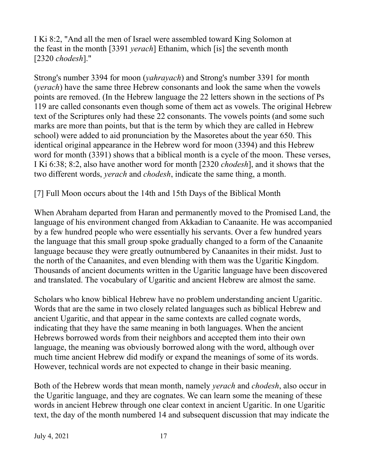I Ki 8:2, "And all the men of Israel were assembled toward King Solomon at the feast in the month [3391 *yerach*] Ethanim, which [is] the seventh month [2320 *chodesh*]."

Strong's number 3394 for moon (*yahrayach*) and Strong's number 3391 for month (*yerach*) have the same three Hebrew consonants and look the same when the vowels points are removed. (In the Hebrew language the 22 letters shown in the sections of Ps 119 are called consonants even though some of them act as vowels. The original Hebrew text of the Scriptures only had these 22 consonants. The vowels points (and some such marks are more than points, but that is the term by which they are called in Hebrew school) were added to aid pronunciation by the Masoretes about the year 650. This identical original appearance in the Hebrew word for moon (3394) and this Hebrew word for month (3391) shows that a biblical month is a cycle of the moon. These verses, I Ki 6:38; 8:2, also have another word for month [2320 *chodesh*], and it shows that the two different words, *yerach* and *chodesh*, indicate the same thing, a month.

#### [7] Full Moon occurs about the 14th and 15th Days of the Biblical Month

When Abraham departed from Haran and permanently moved to the Promised Land, the language of his environment changed from Akkadian to Canaanite. He was accompanied by a few hundred people who were essentially his servants. Over a few hundred years the language that this small group spoke gradually changed to a form of the Canaanite language because they were greatly outnumbered by Canaanites in their midst. Just to the north of the Canaanites, and even blending with them was the Ugaritic Kingdom. Thousands of ancient documents written in the Ugaritic language have been discovered and translated. The vocabulary of Ugaritic and ancient Hebrew are almost the same.

Scholars who know biblical Hebrew have no problem understanding ancient Ugaritic. Words that are the same in two closely related languages such as biblical Hebrew and ancient Ugaritic, and that appear in the same contexts are called cognate words, indicating that they have the same meaning in both languages. When the ancient Hebrews borrowed words from their neighbors and accepted them into their own language, the meaning was obviously borrowed along with the word, although over much time ancient Hebrew did modify or expand the meanings of some of its words. However, technical words are not expected to change in their basic meaning.

Both of the Hebrew words that mean month, namely *yerach* and *chodesh*, also occur in the Ugaritic language, and they are cognates. We can learn some the meaning of these words in ancient Hebrew through one clear context in ancient Ugaritic. In one Ugaritic text, the day of the month numbered 14 and subsequent discussion that may indicate the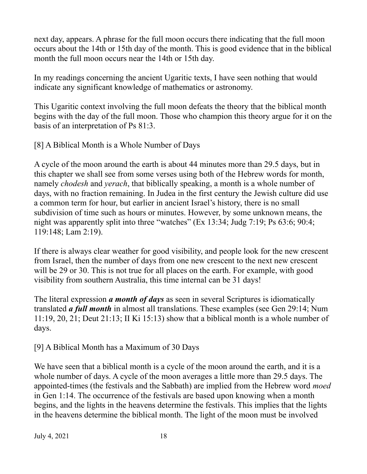next day, appears. A phrase for the full moon occurs there indicating that the full moon occurs about the 14th or 15th day of the month. This is good evidence that in the biblical month the full moon occurs near the 14th or 15th day.

In my readings concerning the ancient Ugaritic texts, I have seen nothing that would indicate any significant knowledge of mathematics or astronomy.

This Ugaritic context involving the full moon defeats the theory that the biblical month begins with the day of the full moon. Those who champion this theory argue for it on the basis of an interpretation of Ps 81:3.

[8] A Biblical Month is a Whole Number of Days

A cycle of the moon around the earth is about 44 minutes more than 29.5 days, but in this chapter we shall see from some verses using both of the Hebrew words for month, namely *chodesh* and *yerach*, that biblically speaking, a month is a whole number of days, with no fraction remaining. In Judea in the first century the Jewish culture did use a common term for hour, but earlier in ancient Israel's history, there is no small subdivision of time such as hours or minutes. However, by some unknown means, the night was apparently split into three "watches" (Ex 13:34; Judg 7:19; Ps 63:6; 90:4; 119:148; Lam 2:19).

If there is always clear weather for good visibility, and people look for the new crescent from Israel, then the number of days from one new crescent to the next new crescent will be 29 or 30. This is not true for all places on the earth. For example, with good visibility from southern Australia, this time internal can be 31 days!

The literal expression *a month of days* as seen in several Scriptures is idiomatically translated *a full month* in almost all translations. These examples (see Gen 29:14; Num 11:19, 20, 21; Deut 21:13; II Ki 15:13) show that a biblical month is a whole number of days.

[9] A Biblical Month has a Maximum of 30 Days

We have seen that a biblical month is a cycle of the moon around the earth, and it is a whole number of days. A cycle of the moon averages a little more than 29.5 days. The appointed-times (the festivals and the Sabbath) are implied from the Hebrew word *moed* in Gen 1:14. The occurrence of the festivals are based upon knowing when a month begins, and the lights in the heavens determine the festivals. This implies that the lights in the heavens determine the biblical month. The light of the moon must be involved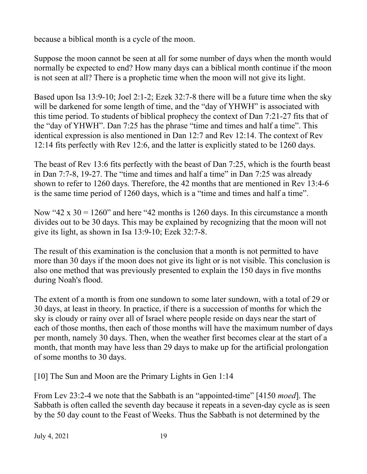because a biblical month is a cycle of the moon.

Suppose the moon cannot be seen at all for some number of days when the month would normally be expected to end? How many days can a biblical month continue if the moon is not seen at all? There is a prophetic time when the moon will not give its light.

Based upon Isa 13:9-10; Joel 2:1-2; Ezek 32:7-8 there will be a future time when the sky will be darkened for some length of time, and the "day of YHWH" is associated with this time period. To students of biblical prophecy the context of Dan 7:21-27 fits that of the "day of YHWH". Dan 7:25 has the phrase "time and times and half a time". This identical expression is also mentioned in Dan 12:7 and Rev 12:14. The context of Rev 12:14 fits perfectly with Rev 12:6, and the latter is explicitly stated to be 1260 days.

The beast of Rev 13:6 fits perfectly with the beast of Dan 7:25, which is the fourth beast in Dan 7:7-8, 19-27. The "time and times and half a time" in Dan 7:25 was already shown to refer to 1260 days. Therefore, the 42 months that are mentioned in Rev 13:4-6 is the same time period of 1260 days, which is a "time and times and half a time".

Now "42 x  $30 = 1260$ " and here "42 months is 1260 days. In this circumstance a month divides out to be 30 days. This may be explained by recognizing that the moon will not give its light, as shown in Isa 13:9-10; Ezek 32:7-8.

The result of this examination is the conclusion that a month is not permitted to have more than 30 days if the moon does not give its light or is not visible. This conclusion is also one method that was previously presented to explain the 150 days in five months during Noah's flood.

The extent of a month is from one sundown to some later sundown, with a total of 29 or 30 days, at least in theory. In practice, if there is a succession of months for which the sky is cloudy or rainy over all of Israel where people reside on days near the start of each of those months, then each of those months will have the maximum number of days per month, namely 30 days. Then, when the weather first becomes clear at the start of a month, that month may have less than 29 days to make up for the artificial prolongation of some months to 30 days.

[10] The Sun and Moon are the Primary Lights in Gen 1:14

From Lev 23:2-4 we note that the Sabbath is an "appointed-time" [4150 *moed*]. The Sabbath is often called the seventh day because it repeats in a seven-day cycle as is seen by the 50 day count to the Feast of Weeks. Thus the Sabbath is not determined by the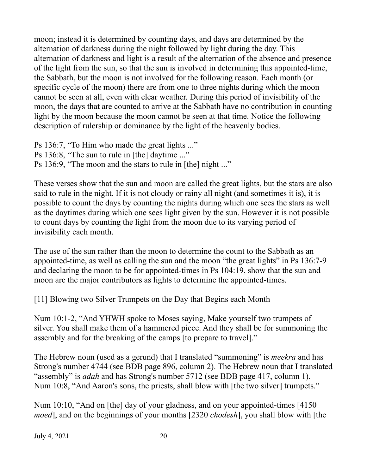moon; instead it is determined by counting days, and days are determined by the alternation of darkness during the night followed by light during the day. This alternation of darkness and light is a result of the alternation of the absence and presence of the light from the sun, so that the sun is involved in determining this appointed-time, the Sabbath, but the moon is not involved for the following reason. Each month (or specific cycle of the moon) there are from one to three nights during which the moon cannot be seen at all, even with clear weather. During this period of invisibility of the moon, the days that are counted to arrive at the Sabbath have no contribution in counting light by the moon because the moon cannot be seen at that time. Notice the following description of rulership or dominance by the light of the heavenly bodies.

Ps 136:7, "To Him who made the great lights ..." Ps 136:8, "The sun to rule in [the] daytime ..." Ps 136:9, "The moon and the stars to rule in [the] night ..."

These verses show that the sun and moon are called the great lights, but the stars are also said to rule in the night. If it is not cloudy or rainy all night (and sometimes it is), it is possible to count the days by counting the nights during which one sees the stars as well as the daytimes during which one sees light given by the sun. However it is not possible to count days by counting the light from the moon due to its varying period of invisibility each month.

The use of the sun rather than the moon to determine the count to the Sabbath as an appointed-time, as well as calling the sun and the moon "the great lights" in Ps 136:7-9 and declaring the moon to be for appointed-times in Ps 104:19, show that the sun and moon are the major contributors as lights to determine the appointed-times.

[11] Blowing two Silver Trumpets on the Day that Begins each Month

Num 10:1-2, "And YHWH spoke to Moses saying, Make yourself two trumpets of silver. You shall make them of a hammered piece. And they shall be for summoning the assembly and for the breaking of the camps [to prepare to travel]."

The Hebrew noun (used as a gerund) that I translated "summoning" is *meekra* and has Strong's number 4744 (see BDB page 896, column 2). The Hebrew noun that I translated "assembly" is *adah* and has Strong's number 5712 (see BDB page 417, column 1). Num 10:8, "And Aaron's sons, the priests, shall blow with [the two silver] trumpets."

Num 10:10, "And on [the] day of your gladness, and on your appointed-times [4150 *moed*], and on the beginnings of your months [2320 *chodesh*], you shall blow with [the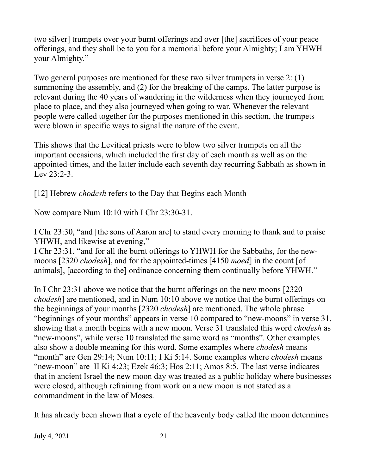two silver] trumpets over your burnt offerings and over [the] sacrifices of your peace offerings, and they shall be to you for a memorial before your Almighty; I am YHWH your Almighty."

Two general purposes are mentioned for these two silver trumpets in verse 2: (1) summoning the assembly, and (2) for the breaking of the camps. The latter purpose is relevant during the 40 years of wandering in the wilderness when they journeyed from place to place, and they also journeyed when going to war. Whenever the relevant people were called together for the purposes mentioned in this section, the trumpets were blown in specific ways to signal the nature of the event.

This shows that the Levitical priests were to blow two silver trumpets on all the important occasions, which included the first day of each month as well as on the appointed-times, and the latter include each seventh day recurring Sabbath as shown in Lev 23:2-3.

[12] Hebrew *chodesh* refers to the Day that Begins each Month

Now compare Num 10:10 with I Chr 23:30-31.

I Chr 23:30, "and [the sons of Aaron are] to stand every morning to thank and to praise YHWH, and likewise at evening,"

I Chr 23:31, "and for all the burnt offerings to YHWH for the Sabbaths, for the newmoons [2320 *chodesh*], and for the appointed-times [4150 *moed*] in the count [of animals], [according to the] ordinance concerning them continually before YHWH."

In I Chr 23:31 above we notice that the burnt offerings on the new moons [2320 *chodesh*] are mentioned, and in Num 10:10 above we notice that the burnt offerings on the beginnings of your months [2320 *chodesh*] are mentioned. The whole phrase "beginnings of your months" appears in verse 10 compared to "new-moons" in verse 31, showing that a month begins with a new moon. Verse 31 translated this word *chodesh* as "new-moons", while verse 10 translated the same word as "months". Other examples also show a double meaning for this word. Some examples where *chodesh* means "month" are Gen 29:14; Num 10:11; I Ki 5:14. Some examples where *chodesh* means "new-moon" are II Ki 4:23; Ezek 46:3; Hos 2:11; Amos 8:5. The last verse indicates that in ancient Israel the new moon day was treated as a public holiday where businesses were closed, although refraining from work on a new moon is not stated as a commandment in the law of Moses.

It has already been shown that a cycle of the heavenly body called the moon determines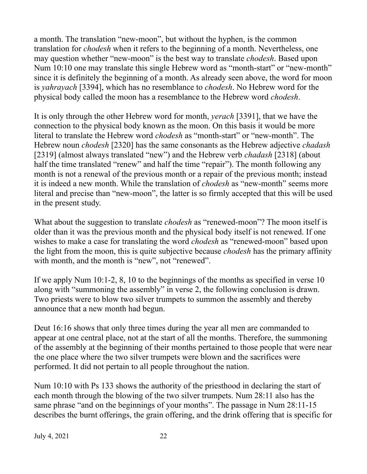a month. The translation "new-moon", but without the hyphen, is the common translation for *chodesh* when it refers to the beginning of a month. Nevertheless, one may question whether "new-moon" is the best way to translate *chodesh*. Based upon Num 10:10 one may translate this single Hebrew word as "month-start" or "new-month" since it is definitely the beginning of a month. As already seen above, the word for moon is *yahrayach* [3394], which has no resemblance to *chodesh*. No Hebrew word for the physical body called the moon has a resemblance to the Hebrew word *chodesh*.

It is only through the other Hebrew word for month, *yerach* [3391], that we have the connection to the physical body known as the moon. On this basis it would be more literal to translate the Hebrew word *chodesh* as "month-start" or "new-month". The Hebrew noun *chodesh* [2320] has the same consonants as the Hebrew adjective *chadash* [2319] (almost always translated "new") and the Hebrew verb *chadash* [2318] (about half the time translated "renew" and half the time "repair"). The month following any month is not a renewal of the previous month or a repair of the previous month; instead it is indeed a new month. While the translation of *chodesh* as "new-month" seems more literal and precise than "new-moon", the latter is so firmly accepted that this will be used in the present study.

What about the suggestion to translate *chodesh* as "renewed-moon"? The moon itself is older than it was the previous month and the physical body itself is not renewed. If one wishes to make a case for translating the word *chodesh* as "renewed-moon" based upon the light from the moon, this is quite subjective because *chodesh* has the primary affinity with month, and the month is "new", not "renewed".

If we apply Num 10:1-2, 8, 10 to the beginnings of the months as specified in verse 10 along with "summoning the assembly" in verse 2, the following conclusion is drawn. Two priests were to blow two silver trumpets to summon the assembly and thereby announce that a new month had begun.

Deut 16:16 shows that only three times during the year all men are commanded to appear at one central place, not at the start of all the months. Therefore, the summoning of the assembly at the beginning of their months pertained to those people that were near the one place where the two silver trumpets were blown and the sacrifices were performed. It did not pertain to all people throughout the nation.

Num 10:10 with Ps 133 shows the authority of the priesthood in declaring the start of each month through the blowing of the two silver trumpets. Num 28:11 also has the same phrase "and on the beginnings of your months". The passage in Num 28:11-15 describes the burnt offerings, the grain offering, and the drink offering that is specific for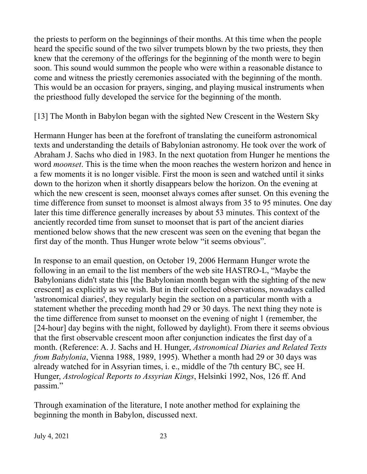the priests to perform on the beginnings of their months. At this time when the people heard the specific sound of the two silver trumpets blown by the two priests, they then knew that the ceremony of the offerings for the beginning of the month were to begin soon. This sound would summon the people who were within a reasonable distance to come and witness the priestly ceremonies associated with the beginning of the month. This would be an occasion for prayers, singing, and playing musical instruments when the priesthood fully developed the service for the beginning of the month.

[13] The Month in Babylon began with the sighted New Crescent in the Western Sky

Hermann Hunger has been at the forefront of translating the cuneiform astronomical texts and understanding the details of Babylonian astronomy. He took over the work of Abraham J. Sachs who died in 1983. In the next quotation from Hunger he mentions the word *moonset*. This is the time when the moon reaches the western horizon and hence in a few moments it is no longer visible. First the moon is seen and watched until it sinks down to the horizon when it shortly disappears below the horizon. On the evening at which the new crescent is seen, moonset always comes after sunset. On this evening the time difference from sunset to moonset is almost always from 35 to 95 minutes. One day later this time difference generally increases by about 53 minutes. This context of the anciently recorded time from sunset to moonset that is part of the ancient diaries mentioned below shows that the new crescent was seen on the evening that began the first day of the month. Thus Hunger wrote below "it seems obvious".

In response to an email question, on October 19, 2006 Hermann Hunger wrote the following in an email to the list members of the web site HASTRO-L, "Maybe the Babylonians didn't state this [the Babylonian month began with the sighting of the new crescent] as explicitly as we wish. But in their collected observations, nowadays called 'astronomical diaries', they regularly begin the section on a particular month with a statement whether the preceding month had 29 or 30 days. The next thing they note is the time difference from sunset to moonset on the evening of night 1 (remember, the [24-hour] day begins with the night, followed by daylight). From there it seems obvious that the first observable crescent moon after conjunction indicates the first day of a month. (Reference: A. J. Sachs and H. Hunger, *Astronomical Diaries and Related Texts from Babylonia*, Vienna 1988, 1989, 1995). Whether a month had 29 or 30 days was already watched for in Assyrian times, i. e., middle of the 7th century BC, see H. Hunger, *Astrological Reports to Assyrian Kings*, Helsinki 1992, Nos, 126 ff. And passim."

Through examination of the literature, I note another method for explaining the beginning the month in Babylon, discussed next.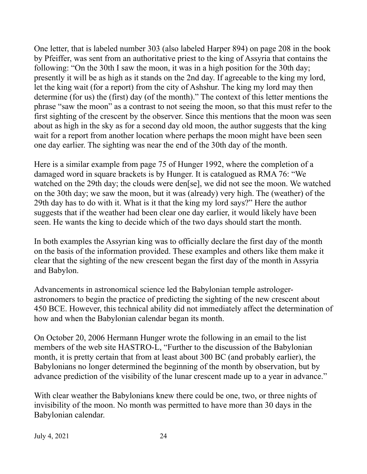One letter, that is labeled number 303 (also labeled Harper 894) on page 208 in the book by Pfeiffer, was sent from an authoritative priest to the king of Assyria that contains the following: "On the 30th I saw the moon, it was in a high position for the 30th day; presently it will be as high as it stands on the 2nd day. If agreeable to the king my lord, let the king wait (for a report) from the city of Ashshur. The king my lord may then determine (for us) the (first) day (of the month)." The context of this letter mentions the phrase "saw the moon" as a contrast to not seeing the moon, so that this must refer to the first sighting of the crescent by the observer. Since this mentions that the moon was seen about as high in the sky as for a second day old moon, the author suggests that the king wait for a report from another location where perhaps the moon might have been seen one day earlier. The sighting was near the end of the 30th day of the month.

Here is a similar example from page 75 of Hunger 1992, where the completion of a damaged word in square brackets is by Hunger. It is catalogued as RMA 76: "We watched on the 29th day; the clouds were den[se], we did not see the moon. We watched on the 30th day; we saw the moon, but it was (already) very high. The (weather) of the 29th day has to do with it. What is it that the king my lord says?" Here the author suggests that if the weather had been clear one day earlier, it would likely have been seen. He wants the king to decide which of the two days should start the month.

In both examples the Assyrian king was to officially declare the first day of the month on the basis of the information provided. These examples and others like them make it clear that the sighting of the new crescent began the first day of the month in Assyria and Babylon.

Advancements in astronomical science led the Babylonian temple astrologerastronomers to begin the practice of predicting the sighting of the new crescent about 450 BCE. However, this technical ability did not immediately affect the determination of how and when the Babylonian calendar began its month.

On October 20, 2006 Hermann Hunger wrote the following in an email to the list members of the web site HASTRO-L, "Further to the discussion of the Babylonian month, it is pretty certain that from at least about 300 BC (and probably earlier), the Babylonians no longer determined the beginning of the month by observation, but by advance prediction of the visibility of the lunar crescent made up to a year in advance."

With clear weather the Babylonians knew there could be one, two, or three nights of invisibility of the moon. No month was permitted to have more than 30 days in the Babylonian calendar.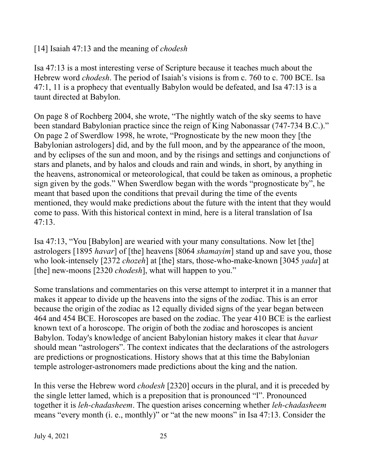[14] Isaiah 47:13 and the meaning of *chodesh*

Isa 47:13 is a most interesting verse of Scripture because it teaches much about the Hebrew word *chodesh*. The period of Isaiah's visions is from c. 760 to c. 700 BCE. Isa 47:1, 11 is a prophecy that eventually Babylon would be defeated, and Isa 47:13 is a taunt directed at Babylon.

On page 8 of Rochberg 2004, she wrote, "The nightly watch of the sky seems to have been standard Babylonian practice since the reign of King Nabonassar (747-734 B.C.)." On page 2 of Swerdlow 1998, he wrote, "Prognosticate by the new moon they [the Babylonian astrologers] did, and by the full moon, and by the appearance of the moon, and by eclipses of the sun and moon, and by the risings and settings and conjunctions of stars and planets, and by halos and clouds and rain and winds, in short, by anything in the heavens, astronomical or meteorological, that could be taken as ominous, a prophetic sign given by the gods." When Swerdlow began with the words "prognosticate by", he meant that based upon the conditions that prevail during the time of the events mentioned, they would make predictions about the future with the intent that they would come to pass. With this historical context in mind, here is a literal translation of Isa 47:13.

Isa 47:13, "You [Babylon] are wearied with your many consultations. Now let [the] astrologers [1895 *havar*] of [the] heavens [8064 *shamayim*] stand up and save you, those who look-intensely [2372 *chozeh*] at [the] stars, those-who-make-known [3045 *yada*] at [the] new-moons [2320 *chodesh*], what will happen to you."

Some translations and commentaries on this verse attempt to interpret it in a manner that makes it appear to divide up the heavens into the signs of the zodiac. This is an error because the origin of the zodiac as 12 equally divided signs of the year began between 464 and 454 BCE. Horoscopes are based on the zodiac. The year 410 BCE is the earliest known text of a horoscope. The origin of both the zodiac and horoscopes is ancient Babylon. Today's knowledge of ancient Babylonian history makes it clear that *havar* should mean "astrologers". The context indicates that the declarations of the astrologers are predictions or prognostications. History shows that at this time the Babylonian temple astrologer-astronomers made predictions about the king and the nation.

In this verse the Hebrew word *chodesh* [2320] occurs in the plural, and it is preceded by the single letter lamed, which is a preposition that is pronounced "l". Pronounced together it is *leh-chadasheem*. The question arises concerning whether *leh-chadasheem* means "every month (i. e., monthly)" or "at the new moons" in Isa 47:13. Consider the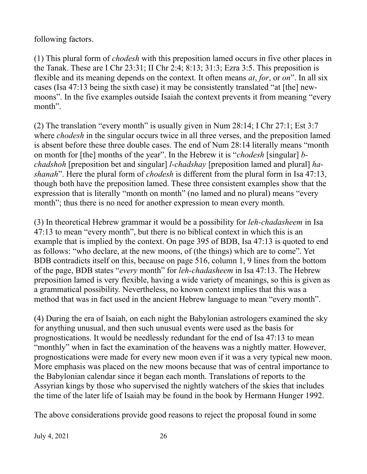following factors.

(1) This plural form of *chodesh* with this preposition lamed occurs in five other places in the Tanak. These are I Chr 23:31; II Chr 2:4; 8:13; 31:3; Ezra 3:5. This preposition is flexible and its meaning depends on the context. It often means *at*, *for*, or *on*". In all six cases (Isa 47:13 being the sixth case) it may be consistently translated "at [the] newmoons". In the five examples outside Isaiah the context prevents it from meaning "every month".

(2) The translation "every month" is usually given in Num 28:14; I Chr 27:1; Est 3:7 where *chodesh* in the singular occurs twice in all three verses, and the preposition lamed is absent before these three double cases. The end of Num 28:14 literally means "month on month for [the] months of the year". In the Hebrew it is "*chodesh* [singular] *bchadshoh* [preposition bet and singular] *l-chadshay* [preposition lamed and plural] *hashanah*". Here the plural form of *chodesh* is different from the plural form in Isa 47:13, though both have the preposition lamed. These three consistent examples show that the expression that is literally "month on month" (no lamed and no plural) means "every month"; thus there is no need for another expression to mean every month.

(3) In theoretical Hebrew grammar it would be a possibility for *leh-chadasheem* in Isa 47:13 to mean "every month", but there is no biblical context in which this is an example that is implied by the context. On page 395 of BDB, Isa 47:13 is quoted to end as follows: "who declare, at the new moons, of (the things) which are to come". Yet BDB contradicts itself on this, because on page 516, column 1, 9 lines from the bottom of the page, BDB states "*every* month" for *leh-chadasheem* in Isa 47:13. The Hebrew preposition lamed is very flexible, having a wide variety of meanings, so this is given as a grammatical possibility. Nevertheless, no known context implies that this was a method that was in fact used in the ancient Hebrew language to mean "every month".

(4) During the era of Isaiah, on each night the Babylonian astrologers examined the sky for anything unusual, and then such unusual events were used as the basis for prognostications. It would be needlessly redundant for the end of Isa 47:13 to mean "monthly" when in fact the examination of the heavens was a nightly matter. However, prognostications were made for every new moon even if it was a very typical new moon. More emphasis was placed on the new moons because that was of central importance to the Babylonian calendar since it began each month. Translations of reports to the Assyrian kings by those who supervised the nightly watchers of the skies that includes the time of the later life of Isaiah may be found in the book by Hermann Hunger 1992.

The above considerations provide good reasons to reject the proposal found in some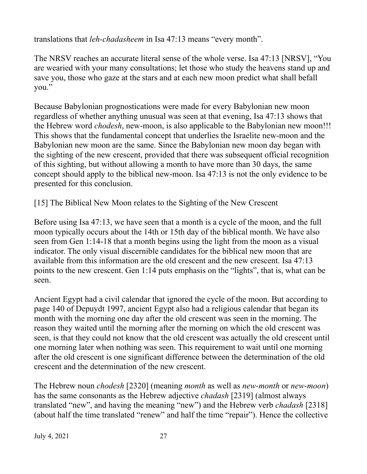translations that *leh-chadasheem* in Isa 47:13 means "every month".

The NRSV reaches an accurate literal sense of the whole verse. Isa 47:13 [NRSV], "You are wearied with your many consultations; let those who study the heavens stand up and save you, those who gaze at the stars and at each new moon predict what shall befall you."

Because Babylonian prognostications were made for every Babylonian new moon regardless of whether anything unusual was seen at that evening, Isa 47:13 shows that the Hebrew word *chodesh*, new-moon, is also applicable to the Babylonian new moon!!! This shows that the fundamental concept that underlies the Israelite new-moon and the Babylonian new moon are the same. Since the Babylonian new moon day began with the sighting of the new crescent, provided that there was subsequent official recognition of this sighting, but without allowing a month to have more than 30 days, the same concept should apply to the biblical new-moon. Isa 47:13 is not the only evidence to be presented for this conclusion.

[15] The Biblical New Moon relates to the Sighting of the New Crescent

Before using Isa 47:13, we have seen that a month is a cycle of the moon, and the full moon typically occurs about the 14th or 15th day of the biblical month. We have also seen from Gen 1:14-18 that a month begins using the light from the moon as a visual indicator. The only visual discernible candidates for the biblical new moon that are available from this information are the old crescent and the new crescent. Isa 47:13 points to the new crescent. Gen 1:14 puts emphasis on the "lights", that is, what can be seen.

Ancient Egypt had a civil calendar that ignored the cycle of the moon. But according to page 140 of Depuydt 1997, ancient Egypt also had a religious calendar that began its month with the morning one day after the old crescent was seen in the morning. The reason they waited until the morning after the morning on which the old crescent was seen, is that they could not know that the old crescent was actually the old crescent until one morning later when nothing was seen. This requirement to wait until one morning after the old crescent is one significant difference between the determination of the old crescent and the determination of the new crescent.

The Hebrew noun *chodesh* [2320] (meaning *month* as well as *new-month* or *new-moon*) has the same consonants as the Hebrew adjective *chadash* [2319] (almost always translated "new", and having the meaning "new") and the Hebrew verb *chadash* [2318] (about half the time translated "renew" and half the time "repair"). Hence the collective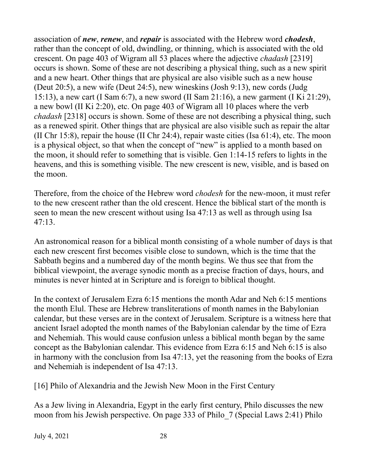association of *new*, *renew*, and *repair* is associated with the Hebrew word *chodesh*, rather than the concept of old, dwindling, or thinning, which is associated with the old crescent. On page 403 of Wigram all 53 places where the adjective *chadash* [2319] occurs is shown. Some of these are not describing a physical thing, such as a new spirit and a new heart. Other things that are physical are also visible such as a new house (Deut 20:5), a new wife (Deut 24:5), new wineskins (Josh 9:13), new cords (Judg 15:13), a new cart (I Sam 6:7), a new sword (II Sam 21:16), a new garment (I Ki 21:29), a new bowl (II Ki 2:20), etc. On page 403 of Wigram all 10 places where the verb *chadash* [2318] occurs is shown. Some of these are not describing a physical thing, such as a renewed spirit. Other things that are physical are also visible such as repair the altar (II Chr 15:8), repair the house (II Chr 24:4), repair waste cities (Isa 61:4), etc. The moon is a physical object, so that when the concept of "new" is applied to a month based on the moon, it should refer to something that is visible. Gen 1:14-15 refers to lights in the heavens, and this is something visible. The new crescent is new, visible, and is based on the moon.

Therefore, from the choice of the Hebrew word *chodesh* for the new-moon, it must refer to the new crescent rather than the old crescent. Hence the biblical start of the month is seen to mean the new crescent without using Isa 47:13 as well as through using Isa 47:13.

An astronomical reason for a biblical month consisting of a whole number of days is that each new crescent first becomes visible close to sundown, which is the time that the Sabbath begins and a numbered day of the month begins. We thus see that from the biblical viewpoint, the average synodic month as a precise fraction of days, hours, and minutes is never hinted at in Scripture and is foreign to biblical thought.

In the context of Jerusalem Ezra 6:15 mentions the month Adar and Neh 6:15 mentions the month Elul. These are Hebrew transliterations of month names in the Babylonian calendar, but these verses are in the context of Jerusalem. Scripture is a witness here that ancient Israel adopted the month names of the Babylonian calendar by the time of Ezra and Nehemiah. This would cause confusion unless a biblical month began by the same concept as the Babylonian calendar. This evidence from Ezra 6:15 and Neh 6:15 is also in harmony with the conclusion from Isa 47:13, yet the reasoning from the books of Ezra and Nehemiah is independent of Isa 47:13.

[16] Philo of Alexandria and the Jewish New Moon in the First Century

As a Jew living in Alexandria, Egypt in the early first century, Philo discusses the new moon from his Jewish perspective. On page 333 of Philo\_7 (Special Laws 2:41) Philo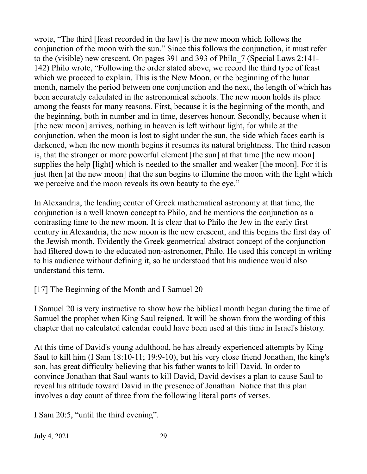wrote, "The third [feast recorded in the law] is the new moon which follows the conjunction of the moon with the sun." Since this follows the conjunction, it must refer to the (visible) new crescent. On pages 391 and 393 of Philo\_7 (Special Laws 2:141- 142) Philo wrote, "Following the order stated above, we record the third type of feast which we proceed to explain. This is the New Moon, or the beginning of the lunar month, namely the period between one conjunction and the next, the length of which has been accurately calculated in the astronomical schools. The new moon holds its place among the feasts for many reasons. First, because it is the beginning of the month, and the beginning, both in number and in time, deserves honour. Secondly, because when it [the new moon] arrives, nothing in heaven is left without light, for while at the conjunction, when the moon is lost to sight under the sun, the side which faces earth is darkened, when the new month begins it resumes its natural brightness. The third reason is, that the stronger or more powerful element [the sun] at that time [the new moon] supplies the help [light] which is needed to the smaller and weaker [the moon]. For it is just then [at the new moon] that the sun begins to illumine the moon with the light which we perceive and the moon reveals its own beauty to the eye."

In Alexandria, the leading center of Greek mathematical astronomy at that time, the conjunction is a well known concept to Philo, and he mentions the conjunction as a contrasting time to the new moon. It is clear that to Philo the Jew in the early first century in Alexandria, the new moon is the new crescent, and this begins the first day of the Jewish month. Evidently the Greek geometrical abstract concept of the conjunction had filtered down to the educated non-astronomer, Philo. He used this concept in writing to his audience without defining it, so he understood that his audience would also understand this term.

[17] The Beginning of the Month and I Samuel 20

I Samuel 20 is very instructive to show how the biblical month began during the time of Samuel the prophet when King Saul reigned. It will be shown from the wording of this chapter that no calculated calendar could have been used at this time in Israel's history.

At this time of David's young adulthood, he has already experienced attempts by King Saul to kill him (I Sam 18:10-11; 19:9-10), but his very close friend Jonathan, the king's son, has great difficulty believing that his father wants to kill David. In order to convince Jonathan that Saul wants to kill David, David devises a plan to cause Saul to reveal his attitude toward David in the presence of Jonathan. Notice that this plan involves a day count of three from the following literal parts of verses.

I Sam 20:5, "until the third evening".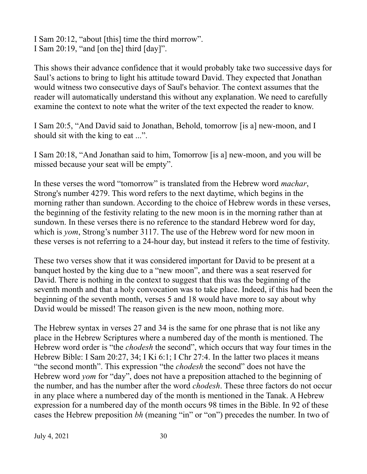I Sam 20:12, "about [this] time the third morrow". I Sam 20:19, "and [on the] third [day]".

This shows their advance confidence that it would probably take two successive days for Saul's actions to bring to light his attitude toward David. They expected that Jonathan would witness two consecutive days of Saul's behavior. The context assumes that the reader will automatically understand this without any explanation. We need to carefully examine the context to note what the writer of the text expected the reader to know.

I Sam 20:5, "And David said to Jonathan, Behold, tomorrow [is a] new-moon, and I should sit with the king to eat ...".

I Sam 20:18, "And Jonathan said to him, Tomorrow [is a] new-moon, and you will be missed because your seat will be empty".

In these verses the word "tomorrow" is translated from the Hebrew word *machar*, Strong's number 4279. This word refers to the next daytime, which begins in the morning rather than sundown. According to the choice of Hebrew words in these verses, the beginning of the festivity relating to the new moon is in the morning rather than at sundown. In these verses there is no reference to the standard Hebrew word for day, which is *yom*, Strong's number 3117. The use of the Hebrew word for new moon in these verses is not referring to a 24-hour day, but instead it refers to the time of festivity.

These two verses show that it was considered important for David to be present at a banquet hosted by the king due to a "new moon", and there was a seat reserved for David. There is nothing in the context to suggest that this was the beginning of the seventh month and that a holy convocation was to take place. Indeed, if this had been the beginning of the seventh month, verses 5 and 18 would have more to say about why David would be missed! The reason given is the new moon, nothing more.

The Hebrew syntax in verses 27 and 34 is the same for one phrase that is not like any place in the Hebrew Scriptures where a numbered day of the month is mentioned. The Hebrew word order is "the *chodesh* the second", which occurs that way four times in the Hebrew Bible: I Sam 20:27, 34; I Ki 6:1; I Chr 27:4. In the latter two places it means "the second month". This expression "the *chodesh* the second" does not have the Hebrew word *yom* for "day", does not have a preposition attached to the beginning of the number, and has the number after the word *chodesh*. These three factors do not occur in any place where a numbered day of the month is mentioned in the Tanak. A Hebrew expression for a numbered day of the month occurs 98 times in the Bible. In 92 of these cases the Hebrew preposition *bh* (meaning "in" or "on") precedes the number. In two of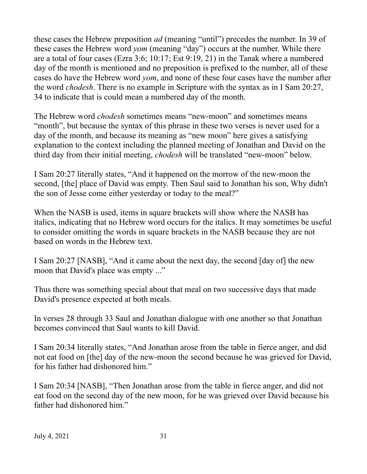these cases the Hebrew preposition *ad* (meaning "until") precedes the number. In 39 of these cases the Hebrew word *yom* (meaning "day") occurs at the number. While there are a total of four cases (Ezra 3:6; 10:17; Est 9:19, 21) in the Tanak where a numbered day of the month is mentioned and no preposition is prefixed to the number, all of these cases do have the Hebrew word *yom*, and none of these four cases have the number after the word *chodesh*. There is no example in Scripture with the syntax as in I Sam 20:27, 34 to indicate that is could mean a numbered day of the month.

The Hebrew word *chodesh* sometimes means "new-moon" and sometimes means "month", but because the syntax of this phrase in these two verses is never used for a day of the month, and because its meaning as "new moon" here gives a satisfying explanation to the context including the planned meeting of Jonathan and David on the third day from their initial meeting, *chodesh* will be translated "new-moon" below.

I Sam 20:27 literally states, "And it happened on the morrow of the new-moon the second, [the] place of David was empty. Then Saul said to Jonathan his son, Why didn't the son of Jesse come either yesterday or today to the meal?"

When the NASB is used, items in square brackets will show where the NASB has italics, indicating that no Hebrew word occurs for the italics. It may sometimes be useful to consider omitting the words in square brackets in the NASB because they are not based on words in the Hebrew text.

I Sam 20:27 [NASB], "And it came about the next day, the second [day of] the new moon that David's place was empty ..."

Thus there was something special about that meal on two successive days that made David's presence expected at both meals.

In verses 28 through 33 Saul and Jonathan dialogue with one another so that Jonathan becomes convinced that Saul wants to kill David.

I Sam 20:34 literally states, "And Jonathan arose from the table in fierce anger, and did not eat food on [the] day of the new-moon the second because he was grieved for David, for his father had dishonored him."

I Sam 20:34 [NASB], "Then Jonathan arose from the table in fierce anger, and did not eat food on the second day of the new moon, for he was grieved over David because his father had dishonored him."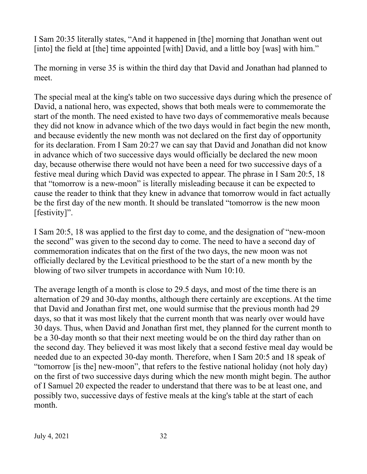I Sam 20:35 literally states, "And it happened in [the] morning that Jonathan went out [into] the field at [the] time appointed [with] David, and a little boy [was] with him."

The morning in verse 35 is within the third day that David and Jonathan had planned to meet.

The special meal at the king's table on two successive days during which the presence of David, a national hero, was expected, shows that both meals were to commemorate the start of the month. The need existed to have two days of commemorative meals because they did not know in advance which of the two days would in fact begin the new month, and because evidently the new month was not declared on the first day of opportunity for its declaration. From I Sam 20:27 we can say that David and Jonathan did not know in advance which of two successive days would officially be declared the new moon day, because otherwise there would not have been a need for two successive days of a festive meal during which David was expected to appear. The phrase in I Sam 20:5, 18 that "tomorrow is a new-moon" is literally misleading because it can be expected to cause the reader to think that they knew in advance that tomorrow would in fact actually be the first day of the new month. It should be translated "tomorrow is the new moon [festivity]".

I Sam 20:5, 18 was applied to the first day to come, and the designation of "new-moon the second" was given to the second day to come. The need to have a second day of commemoration indicates that on the first of the two days, the new moon was not officially declared by the Levitical priesthood to be the start of a new month by the blowing of two silver trumpets in accordance with Num 10:10.

The average length of a month is close to 29.5 days, and most of the time there is an alternation of 29 and 30-day months, although there certainly are exceptions. At the time that David and Jonathan first met, one would surmise that the previous month had 29 days, so that it was most likely that the current month that was nearly over would have 30 days. Thus, when David and Jonathan first met, they planned for the current month to be a 30-day month so that their next meeting would be on the third day rather than on the second day. They believed it was most likely that a second festive meal day would be needed due to an expected 30-day month. Therefore, when I Sam 20:5 and 18 speak of "tomorrow [is the] new-moon", that refers to the festive national holiday (not holy day) on the first of two successive days during which the new month might begin. The author of I Samuel 20 expected the reader to understand that there was to be at least one, and possibly two, successive days of festive meals at the king's table at the start of each month.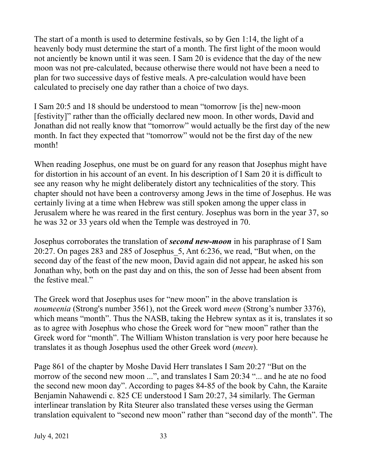The start of a month is used to determine festivals, so by Gen 1:14, the light of a heavenly body must determine the start of a month. The first light of the moon would not anciently be known until it was seen. I Sam 20 is evidence that the day of the new moon was not pre-calculated, because otherwise there would not have been a need to plan for two successive days of festive meals. A pre-calculation would have been calculated to precisely one day rather than a choice of two days.

I Sam 20:5 and 18 should be understood to mean "tomorrow [is the] new-moon [festivity]" rather than the officially declared new moon. In other words, David and Jonathan did not really know that "tomorrow" would actually be the first day of the new month. In fact they expected that "tomorrow" would not be the first day of the new month!

When reading Josephus, one must be on guard for any reason that Josephus might have for distortion in his account of an event. In his description of I Sam 20 it is difficult to see any reason why he might deliberately distort any technicalities of the story. This chapter should not have been a controversy among Jews in the time of Josephus. He was certainly living at a time when Hebrew was still spoken among the upper class in Jerusalem where he was reared in the first century. Josephus was born in the year 37, so he was 32 or 33 years old when the Temple was destroyed in 70.

Josephus corroborates the translation of *second new-moon* in his paraphrase of I Sam 20:27. On pages 283 and 285 of Josephus\_5, Ant 6:236, we read, "But when, on the second day of the feast of the new moon, David again did not appear, he asked his son Jonathan why, both on the past day and on this, the son of Jesse had been absent from the festive meal."

The Greek word that Josephus uses for "new moon" in the above translation is *noumeenia* (Strong's number 3561), not the Greek word *meen* (Strong's number 3376), which means "month". Thus the NASB, taking the Hebrew syntax as it is, translates it so as to agree with Josephus who chose the Greek word for "new moon" rather than the Greek word for "month". The William Whiston translation is very poor here because he translates it as though Josephus used the other Greek word (*meen*).

Page 861 of the chapter by Moshe David Herr translates I Sam 20:27 "But on the morrow of the second new moon ...", and translates I Sam 20:34 "... and he ate no food the second new moon day". According to pages 84-85 of the book by Cahn, the Karaite Benjamin Nahawendi c. 825 CE understood I Sam 20:27, 34 similarly. The German interlinear translation by Rita Steurer also translated these verses using the German translation equivalent to "second new moon" rather than "second day of the month". The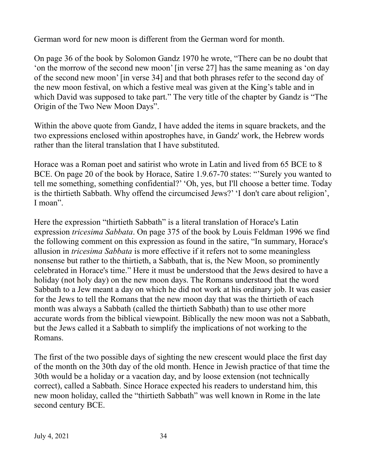German word for new moon is different from the German word for month.

On page 36 of the book by Solomon Gandz 1970 he wrote, "There can be no doubt that 'on the morrow of the second new moon' [in verse 27] has the same meaning as 'on day of the second new moon' [in verse 34] and that both phrases refer to the second day of the new moon festival, on which a festive meal was given at the King's table and in which David was supposed to take part." The very title of the chapter by Gandz is "The Origin of the Two New Moon Days".

Within the above quote from Gandz, I have added the items in square brackets, and the two expressions enclosed within apostrophes have, in Gandz' work, the Hebrew words rather than the literal translation that I have substituted.

Horace was a Roman poet and satirist who wrote in Latin and lived from 65 BCE to 8 BCE. On page 20 of the book by Horace, Satire 1.9.67-70 states: "'Surely you wanted to tell me something, something confidential?' 'Oh, yes, but I'll choose a better time. Today is the thirtieth Sabbath. Why offend the circumcised Jews?' 'I don't care about religion', I moan".

Here the expression "thirtieth Sabbath" is a literal translation of Horace's Latin expression *tricesima Sabbata*. On page 375 of the book by Louis Feldman 1996 we find the following comment on this expression as found in the satire, "In summary, Horace's allusion in *tricesima Sabbata* is more effective if it refers not to some meaningless nonsense but rather to the thirtieth, a Sabbath, that is, the New Moon, so prominently celebrated in Horace's time." Here it must be understood that the Jews desired to have a holiday (not holy day) on the new moon days. The Romans understood that the word Sabbath to a Jew meant a day on which he did not work at his ordinary job. It was easier for the Jews to tell the Romans that the new moon day that was the thirtieth of each month was always a Sabbath (called the thirtieth Sabbath) than to use other more accurate words from the biblical viewpoint. Biblically the new moon was not a Sabbath, but the Jews called it a Sabbath to simplify the implications of not working to the Romans.

The first of the two possible days of sighting the new crescent would place the first day of the month on the 30th day of the old month. Hence in Jewish practice of that time the 30th would be a holiday or a vacation day, and by loose extension (not technically correct), called a Sabbath. Since Horace expected his readers to understand him, this new moon holiday, called the "thirtieth Sabbath" was well known in Rome in the late second century BCE.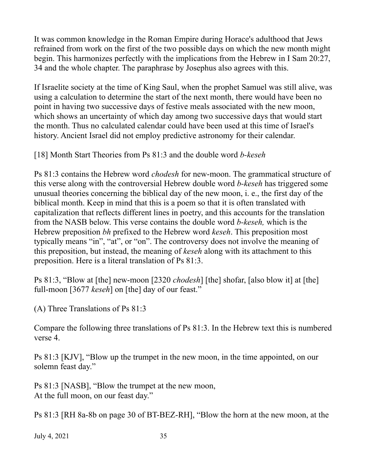It was common knowledge in the Roman Empire during Horace's adulthood that Jews refrained from work on the first of the two possible days on which the new month might begin. This harmonizes perfectly with the implications from the Hebrew in I Sam 20:27, 34 and the whole chapter. The paraphrase by Josephus also agrees with this.

If Israelite society at the time of King Saul, when the prophet Samuel was still alive, was using a calculation to determine the start of the next month, there would have been no point in having two successive days of festive meals associated with the new moon, which shows an uncertainty of which day among two successive days that would start the month. Thus no calculated calendar could have been used at this time of Israel's history. Ancient Israel did not employ predictive astronomy for their calendar.

[18] Month Start Theories from Ps 81:3 and the double word *b-keseh*

Ps 81:3 contains the Hebrew word *chodesh* for new-moon. The grammatical structure of this verse along with the controversial Hebrew double word *b-keseh* has triggered some unusual theories concerning the biblical day of the new moon, i. e., the first day of the biblical month. Keep in mind that this is a poem so that it is often translated with capitalization that reflects different lines in poetry, and this accounts for the translation from the NASB below. This verse contains the double word *b-keseh,* which is the Hebrew preposition *bh* prefixed to the Hebrew word *keseh*. This preposition most typically means "in", "at", or "on". The controversy does not involve the meaning of this preposition, but instead, the meaning of *keseh* along with its attachment to this preposition. Here is a literal translation of Ps 81:3.

Ps 81:3, "Blow at [the] new-moon [2320 *chodesh*] [the] shofar, [also blow it] at [the] full-moon [3677 *keseh*] on [the] day of our feast."

(A) Three Translations of Ps 81:3

Compare the following three translations of Ps 81:3. In the Hebrew text this is numbered verse 4.

Ps 81:3 [KJV], "Blow up the trumpet in the new moon, in the time appointed, on our solemn feast day."

Ps 81:3 [NASB], "Blow the trumpet at the new moon, At the full moon, on our feast day."

Ps 81:3 [RH 8a-8b on page 30 of BT-BEZ-RH], "Blow the horn at the new moon, at the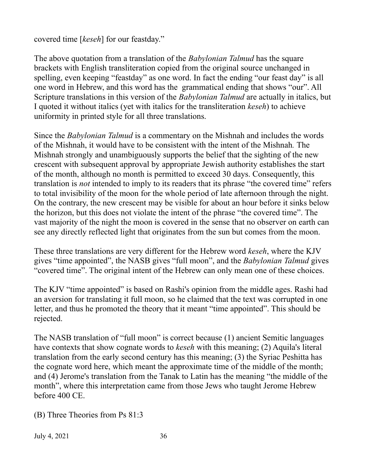covered time [*keseh*] for our feastday."

The above quotation from a translation of the *Babylonian Talmud* has the square brackets with English transliteration copied from the original source unchanged in spelling, even keeping "feastday" as one word. In fact the ending "our feast day" is all one word in Hebrew, and this word has the grammatical ending that shows "our". All Scripture translations in this version of the *Babylonian Talmud* are actually in italics, but I quoted it without italics (yet with italics for the transliteration *keseh*) to achieve uniformity in printed style for all three translations.

Since the *Babylonian Talmud* is a commentary on the Mishnah and includes the words of the Mishnah, it would have to be consistent with the intent of the Mishnah*.* The Mishnah strongly and unambiguously supports the belief that the sighting of the new crescent with subsequent approval by appropriate Jewish authority establishes the start of the month, although no month is permitted to exceed 30 days. Consequently, this translation is *not* intended to imply to its readers that its phrase "the covered time" refers to total invisibility of the moon for the whole period of late afternoon through the night. On the contrary, the new crescent may be visible for about an hour before it sinks below the horizon, but this does not violate the intent of the phrase "the covered time". The vast majority of the night the moon is covered in the sense that no observer on earth can see any directly reflected light that originates from the sun but comes from the moon.

These three translations are very different for the Hebrew word *keseh*, where the KJV gives "time appointed", the NASB gives "full moon", and the *Babylonian Talmud* gives "covered time". The original intent of the Hebrew can only mean one of these choices.

The KJV "time appointed" is based on Rashi's opinion from the middle ages. Rashi had an aversion for translating it full moon, so he claimed that the text was corrupted in one letter, and thus he promoted the theory that it meant "time appointed". This should be rejected.

The NASB translation of "full moon" is correct because (1) ancient Semitic languages have contexts that show cognate words to *keseh* with this meaning; (2) Aquila's literal translation from the early second century has this meaning; (3) the Syriac Peshitta has the cognate word here, which meant the approximate time of the middle of the month; and (4) Jerome's translation from the Tanak to Latin has the meaning "the middle of the month", where this interpretation came from those Jews who taught Jerome Hebrew before 400 CE.

(B) Three Theories from Ps 81:3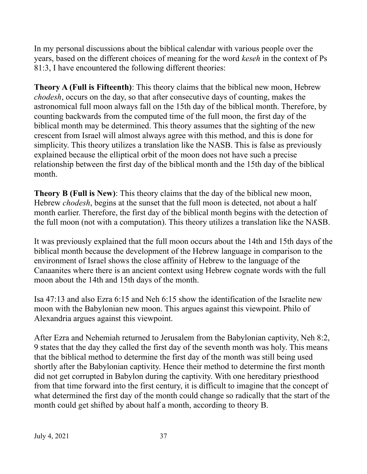In my personal discussions about the biblical calendar with various people over the years, based on the different choices of meaning for the word *keseh* in the context of Ps 81:3, I have encountered the following different theories:

**Theory A (Full is Fifteenth)**: This theory claims that the biblical new moon, Hebrew *chodesh*, occurs on the day, so that after consecutive days of counting, makes the astronomical full moon always fall on the 15th day of the biblical month. Therefore, by counting backwards from the computed time of the full moon, the first day of the biblical month may be determined. This theory assumes that the sighting of the new crescent from Israel will almost always agree with this method, and this is done for simplicity. This theory utilizes a translation like the NASB. This is false as previously explained because the elliptical orbit of the moon does not have such a precise relationship between the first day of the biblical month and the 15th day of the biblical month.

**Theory B (Full is New)**: This theory claims that the day of the biblical new moon, Hebrew *chodesh*, begins at the sunset that the full moon is detected, not about a half month earlier. Therefore, the first day of the biblical month begins with the detection of the full moon (not with a computation). This theory utilizes a translation like the NASB.

It was previously explained that the full moon occurs about the 14th and 15th days of the biblical month because the development of the Hebrew language in comparison to the environment of Israel shows the close affinity of Hebrew to the language of the Canaanites where there is an ancient context using Hebrew cognate words with the full moon about the 14th and 15th days of the month.

Isa 47:13 and also Ezra 6:15 and Neh 6:15 show the identification of the Israelite new moon with the Babylonian new moon. This argues against this viewpoint. Philo of Alexandria argues against this viewpoint.

After Ezra and Nehemiah returned to Jerusalem from the Babylonian captivity, Neh 8:2, 9 states that the day they called the first day of the seventh month was holy. This means that the biblical method to determine the first day of the month was still being used shortly after the Babylonian captivity. Hence their method to determine the first month did not get corrupted in Babylon during the captivity. With one hereditary priesthood from that time forward into the first century, it is difficult to imagine that the concept of what determined the first day of the month could change so radically that the start of the month could get shifted by about half a month, according to theory B.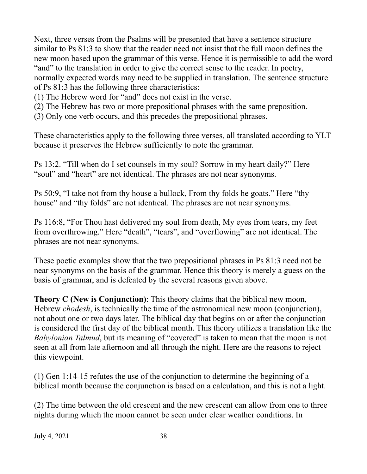Next, three verses from the Psalms will be presented that have a sentence structure similar to Ps 81:3 to show that the reader need not insist that the full moon defines the new moon based upon the grammar of this verse. Hence it is permissible to add the word "and" to the translation in order to give the correct sense to the reader. In poetry, normally expected words may need to be supplied in translation. The sentence structure of Ps 81:3 has the following three characteristics:

(1) The Hebrew word for "and" does not exist in the verse.

(2) The Hebrew has two or more prepositional phrases with the same preposition.

(3) Only one verb occurs, and this precedes the prepositional phrases.

These characteristics apply to the following three verses, all translated according to YLT because it preserves the Hebrew sufficiently to note the grammar.

Ps 13:2. "Till when do I set counsels in my soul? Sorrow in my heart daily?" Here "soul" and "heart" are not identical. The phrases are not near synonyms.

Ps 50:9, "I take not from thy house a bullock, From thy folds he goats." Here "thy house" and "thy folds" are not identical. The phrases are not near synonyms.

Ps 116:8, "For Thou hast delivered my soul from death, My eyes from tears, my feet from overthrowing." Here "death", "tears", and "overflowing" are not identical. The phrases are not near synonyms.

These poetic examples show that the two prepositional phrases in Ps 81:3 need not be near synonyms on the basis of the grammar. Hence this theory is merely a guess on the basis of grammar, and is defeated by the several reasons given above.

**Theory C (New is Conjunction)**: This theory claims that the biblical new moon, Hebrew *chodesh*, is technically the time of the astronomical new moon (conjunction), not about one or two days later. The biblical day that begins on or after the conjunction is considered the first day of the biblical month. This theory utilizes a translation like the *Babylonian Talmud*, but its meaning of "covered" is taken to mean that the moon is not seen at all from late afternoon and all through the night. Here are the reasons to reject this viewpoint.

(1) Gen 1:14-15 refutes the use of the conjunction to determine the beginning of a biblical month because the conjunction is based on a calculation, and this is not a light.

(2) The time between the old crescent and the new crescent can allow from one to three nights during which the moon cannot be seen under clear weather conditions. In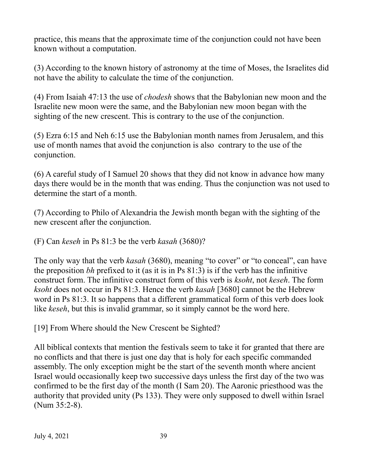practice, this means that the approximate time of the conjunction could not have been known without a computation.

(3) According to the known history of astronomy at the time of Moses, the Israelites did not have the ability to calculate the time of the conjunction.

(4) From Isaiah 47:13 the use of *chodesh* shows that the Babylonian new moon and the Israelite new moon were the same, and the Babylonian new moon began with the sighting of the new crescent. This is contrary to the use of the conjunction.

(5) Ezra 6:15 and Neh 6:15 use the Babylonian month names from Jerusalem, and this use of month names that avoid the conjunction is also contrary to the use of the conjunction.

(6) A careful study of I Samuel 20 shows that they did not know in advance how many days there would be in the month that was ending. Thus the conjunction was not used to determine the start of a month.

(7) According to Philo of Alexandria the Jewish month began with the sighting of the new crescent after the conjunction.

(F) Can *keseh* in Ps 81:3 be the verb *kasah* (3680)?

The only way that the verb *kasah* (3680), meaning "to cover" or "to conceal", can have the preposition *bh* prefixed to it (as it is in Ps 81:3) is if the verb has the infinitive construct form. The infinitive construct form of this verb is *ksoht*, not *keseh*. The form *ksoht* does not occur in Ps 81:3. Hence the verb *kasah* [3680] cannot be the Hebrew word in Ps 81:3. It so happens that a different grammatical form of this verb does look like *keseh*, but this is invalid grammar, so it simply cannot be the word here.

[19] From Where should the New Crescent be Sighted?

All biblical contexts that mention the festivals seem to take it for granted that there are no conflicts and that there is just one day that is holy for each specific commanded assembly. The only exception might be the start of the seventh month where ancient Israel would occasionally keep two successive days unless the first day of the two was confirmed to be the first day of the month (I Sam 20). The Aaronic priesthood was the authority that provided unity (Ps 133). They were only supposed to dwell within Israel (Num 35:2-8).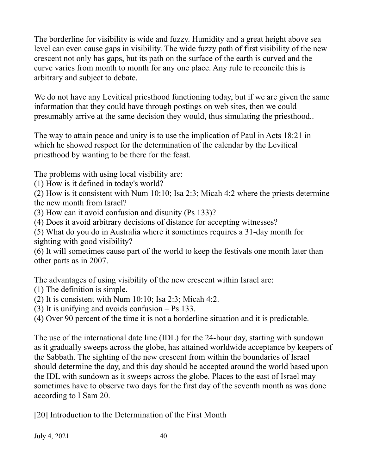The borderline for visibility is wide and fuzzy. Humidity and a great height above sea level can even cause gaps in visibility. The wide fuzzy path of first visibility of the new crescent not only has gaps, but its path on the surface of the earth is curved and the curve varies from month to month for any one place. Any rule to reconcile this is arbitrary and subject to debate.

We do not have any Levitical priesthood functioning today, but if we are given the same information that they could have through postings on web sites, then we could presumably arrive at the same decision they would, thus simulating the priesthood..

The way to attain peace and unity is to use the implication of Paul in Acts 18:21 in which he showed respect for the determination of the calendar by the Levitical priesthood by wanting to be there for the feast.

The problems with using local visibility are:

(1) How is it defined in today's world?

(2) How is it consistent with Num 10:10; Isa 2:3; Micah 4:2 where the priests determine the new month from Israel?

- (3) How can it avoid confusion and disunity (Ps 133)?
- (4) Does it avoid arbitrary decisions of distance for accepting witnesses?

(5) What do you do in Australia where it sometimes requires a 31-day month for sighting with good visibility?

(6) It will sometimes cause part of the world to keep the festivals one month later than other parts as in 2007.

The advantages of using visibility of the new crescent within Israel are:

- (1) The definition is simple.
- (2) It is consistent with Num 10:10; Isa 2:3; Micah 4:2.
- (3) It is unifying and avoids confusion Ps 133.
- (4) Over 90 percent of the time it is not a borderline situation and it is predictable.

The use of the international date line (IDL) for the 24-hour day, starting with sundown as it gradually sweeps across the globe, has attained worldwide acceptance by keepers of the Sabbath. The sighting of the new crescent from within the boundaries of Israel should determine the day, and this day should be accepted around the world based upon the IDL with sundown as it sweeps across the globe. Places to the east of Israel may sometimes have to observe two days for the first day of the seventh month as was done according to I Sam 20.

[20] Introduction to the Determination of the First Month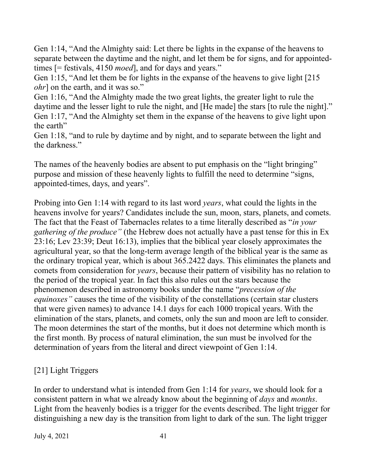Gen 1:14, "And the Almighty said: Let there be lights in the expanse of the heavens to separate between the daytime and the night, and let them be for signs, and for appointedtimes [= festivals, 4150 *moed*], and for days and years."

Gen 1:15, "And let them be for lights in the expanse of the heavens to give light [215 *ohr*] on the earth, and it was so."

Gen 1:16, "And the Almighty made the two great lights, the greater light to rule the daytime and the lesser light to rule the night, and [He made] the stars [to rule the night]." Gen 1:17, "And the Almighty set them in the expanse of the heavens to give light upon the earth"

Gen 1:18, "and to rule by daytime and by night, and to separate between the light and the darkness."

The names of the heavenly bodies are absent to put emphasis on the "light bringing" purpose and mission of these heavenly lights to fulfill the need to determine "signs, appointed-times, days, and years".

Probing into Gen 1:14 with regard to its last word *years*, what could the lights in the heavens involve for years? Candidates include the sun, moon, stars, planets, and comets. The fact that the Feast of Tabernacles relates to a time literally described as "*in your gathering of the produce"* (the Hebrew does not actually have a past tense for this in Ex 23:16; Lev 23:39; Deut 16:13), implies that the biblical year closely approximates the agricultural year, so that the long-term average length of the biblical year is the same as the ordinary tropical year, which is about 365.2422 days. This eliminates the planets and comets from consideration for *years*, because their pattern of visibility has no relation to the period of the tropical year. In fact this also rules out the stars because the phenomenon described in astronomy books under the name "*precession of the equinoxes"* causes the time of the visibility of the constellations (certain star clusters that were given names) to advance 14.1 days for each 1000 tropical years. With the elimination of the stars, planets, and comets, only the sun and moon are left to consider. The moon determines the start of the months, but it does not determine which month is the first month. By process of natural elimination, the sun must be involved for the determination of years from the literal and direct viewpoint of Gen 1:14.

## [21] Light Triggers

In order to understand what is intended from Gen 1:14 for *years*, we should look for a consistent pattern in what we already know about the beginning of *days* and *months*. Light from the heavenly bodies is a trigger for the events described. The light trigger for distinguishing a new day is the transition from light to dark of the sun. The light trigger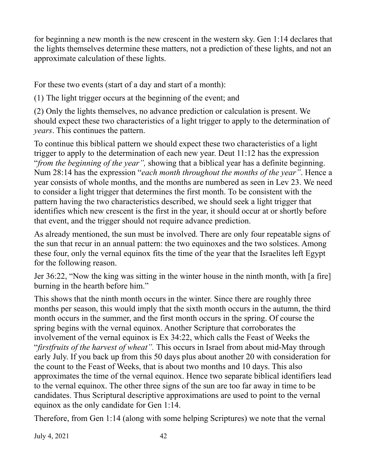for beginning a new month is the new crescent in the western sky. Gen 1:14 declares that the lights themselves determine these matters, not a prediction of these lights, and not an approximate calculation of these lights.

For these two events (start of a day and start of a month):

(1) The light trigger occurs at the beginning of the event; and

(2) Only the lights themselves, no advance prediction or calculation is present. We should expect these two characteristics of a light trigger to apply to the determination of *years*. This continues the pattern.

To continue this biblical pattern we should expect these two characteristics of a light trigger to apply to the determination of each new year. Deut 11:12 has the expression "*from the beginning of the year",* showing that a biblical year has a definite beginning. Num 28:14 has the expression "*each month throughout the months of the year"*. Hence a year consists of whole months, and the months are numbered as seen in Lev 23. We need to consider a light trigger that determines the first month. To be consistent with the pattern having the two characteristics described, we should seek a light trigger that identifies which new crescent is the first in the year, it should occur at or shortly before that event, and the trigger should not require advance prediction.

As already mentioned, the sun must be involved. There are only four repeatable signs of the sun that recur in an annual pattern: the two equinoxes and the two solstices. Among these four, only the vernal equinox fits the time of the year that the Israelites left Egypt for the following reason.

Jer 36:22, "Now the king was sitting in the winter house in the ninth month, with [a fire] burning in the hearth before him."

This shows that the ninth month occurs in the winter. Since there are roughly three months per season, this would imply that the sixth month occurs in the autumn, the third month occurs in the summer, and the first month occurs in the spring. Of course the spring begins with the vernal equinox. Another Scripture that corroborates the involvement of the vernal equinox is Ex 34:22, which calls the Feast of Weeks the "*firstfruits of the harvest of wheat".* This occurs in Israel from about mid-May through early July. If you back up from this 50 days plus about another 20 with consideration for the count to the Feast of Weeks, that is about two months and 10 days. This also approximates the time of the vernal equinox. Hence two separate biblical identifiers lead to the vernal equinox. The other three signs of the sun are too far away in time to be candidates. Thus Scriptural descriptive approximations are used to point to the vernal equinox as the only candidate for Gen 1:14.

Therefore, from Gen 1:14 (along with some helping Scriptures) we note that the vernal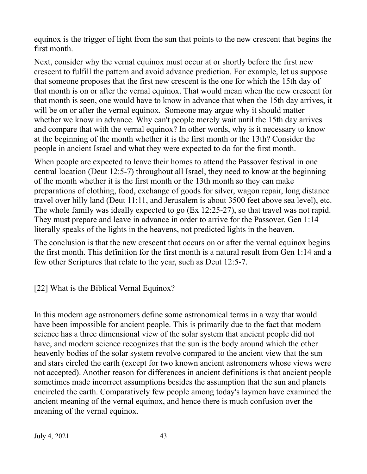equinox is the trigger of light from the sun that points to the new crescent that begins the first month.

Next, consider why the vernal equinox must occur at or shortly before the first new crescent to fulfill the pattern and avoid advance prediction. For example, let us suppose that someone proposes that the first new crescent is the one for which the 15th day of that month is on or after the vernal equinox. That would mean when the new crescent for that month is seen, one would have to know in advance that when the 15th day arrives, it will be on or after the vernal equinox. Someone may argue why it should matter whether we know in advance. Why can't people merely wait until the 15th day arrives and compare that with the vernal equinox? In other words, why is it necessary to know at the beginning of the month whether it is the first month or the 13th? Consider the people in ancient Israel and what they were expected to do for the first month.

When people are expected to leave their homes to attend the Passover festival in one central location (Deut 12:5-7) throughout all Israel, they need to know at the beginning of the month whether it is the first month or the 13th month so they can make preparations of clothing, food, exchange of goods for silver, wagon repair, long distance travel over hilly land (Deut 11:11, and Jerusalem is about 3500 feet above sea level), etc. The whole family was ideally expected to go (Ex 12:25-27), so that travel was not rapid. They must prepare and leave in advance in order to arrive for the Passover. Gen 1:14 literally speaks of the lights in the heavens, not predicted lights in the heaven.

The conclusion is that the new crescent that occurs on or after the vernal equinox begins the first month. This definition for the first month is a natural result from Gen 1:14 and a few other Scriptures that relate to the year, such as Deut 12:5-7.

[22] What is the Biblical Vernal Equinox?

In this modern age astronomers define some astronomical terms in a way that would have been impossible for ancient people. This is primarily due to the fact that modern science has a three dimensional view of the solar system that ancient people did not have, and modern science recognizes that the sun is the body around which the other heavenly bodies of the solar system revolve compared to the ancient view that the sun and stars circled the earth (except for two known ancient astronomers whose views were not accepted). Another reason for differences in ancient definitions is that ancient people sometimes made incorrect assumptions besides the assumption that the sun and planets encircled the earth. Comparatively few people among today's laymen have examined the ancient meaning of the vernal equinox, and hence there is much confusion over the meaning of the vernal equinox.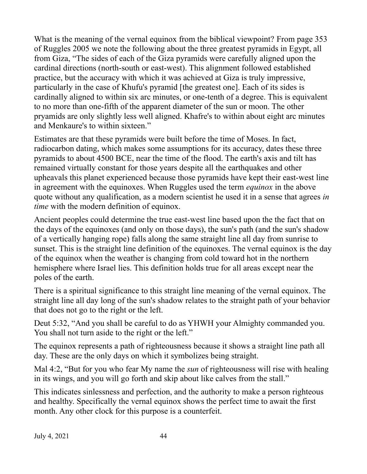What is the meaning of the vernal equinox from the biblical viewpoint? From page 353 of Ruggles 2005 we note the following about the three greatest pyramids in Egypt, all from Giza, "The sides of each of the Giza pyramids were carefully aligned upon the cardinal directions (north-south or east-west). This alignment followed established practice, but the accuracy with which it was achieved at Giza is truly impressive, particularly in the case of Khufu's pyramid [the greatest one]. Each of its sides is cardinally aligned to within six arc minutes, or one-tenth of a degree. This is equivalent to no more than one-fifth of the apparent diameter of the sun or moon. The other pryamids are only slightly less well aligned. Khafre's to within about eight arc minutes and Menkaure's to within sixteen."

Estimates are that these pyramids were built before the time of Moses. In fact, radiocarbon dating, which makes some assumptions for its accuracy, dates these three pyramids to about 4500 BCE, near the time of the flood. The earth's axis and tilt has remained virtually constant for those years despite all the earthquakes and other upheavals this planet experienced because those pyramids have kept their east-west line in agreement with the equinoxes. When Ruggles used the term *equinox* in the above quote without any qualification, as a modern scientist he used it in a sense that agrees *in time* with the modern definition of equinox.

Ancient peoples could determine the true east-west line based upon the the fact that on the days of the equinoxes (and only on those days), the sun's path (and the sun's shadow of a vertically hanging rope) falls along the same straight line all day from sunrise to sunset. This is the straight line definition of the equinoxes. The vernal equinox is the day of the equinox when the weather is changing from cold toward hot in the northern hemisphere where Israel lies. This definition holds true for all areas except near the poles of the earth.

There is a spiritual significance to this straight line meaning of the vernal equinox. The straight line all day long of the sun's shadow relates to the straight path of your behavior that does not go to the right or the left.

Deut 5:32, "And you shall be careful to do as YHWH your Almighty commanded you. You shall not turn aside to the right or the left."

The equinox represents a path of righteousness because it shows a straight line path all day. These are the only days on which it symbolizes being straight.

Mal 4:2, "But for you who fear My name the *sun* of righteousness will rise with healing in its wings, and you will go forth and skip about like calves from the stall."

This indicates sinlessness and perfection, and the authority to make a person righteous and healthy. Specifically the vernal equinox shows the perfect time to await the first month. Any other clock for this purpose is a counterfeit.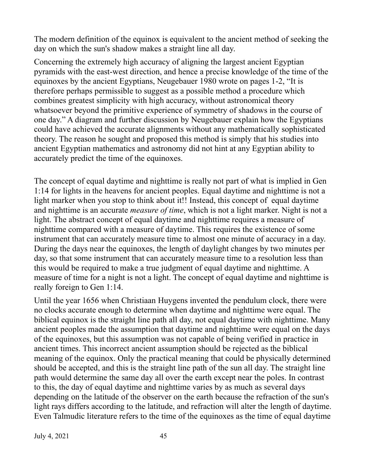The modern definition of the equinox is equivalent to the ancient method of seeking the day on which the sun's shadow makes a straight line all day.

Concerning the extremely high accuracy of aligning the largest ancient Egyptian pyramids with the east-west direction, and hence a precise knowledge of the time of the equinoxes by the ancient Egyptians, Neugebauer 1980 wrote on pages 1-2, "It is therefore perhaps permissible to suggest as a possible method a procedure which combines greatest simplicity with high accuracy, without astronomical theory whatsoever beyond the primitive experience of symmetry of shadows in the course of one day." A diagram and further discussion by Neugebauer explain how the Egyptians could have achieved the accurate alignments without any mathematically sophisticated theory. The reason he sought and proposed this method is simply that his studies into ancient Egyptian mathematics and astronomy did not hint at any Egyptian ability to accurately predict the time of the equinoxes.

The concept of equal daytime and nighttime is really not part of what is implied in Gen 1:14 for lights in the heavens for ancient peoples. Equal daytime and nighttime is not a light marker when you stop to think about it!! Instead, this concept of equal daytime and nighttime is an accurate *measure of time*, which is not a light marker. Night is not a light. The abstract concept of equal daytime and nighttime requires a measure of nighttime compared with a measure of daytime. This requires the existence of some instrument that can accurately measure time to almost one minute of accuracy in a day. During the days near the equinoxes, the length of daylight changes by two minutes per day, so that some instrument that can accurately measure time to a resolution less than this would be required to make a true judgment of equal daytime and nighttime. A measure of time for a night is not a light. The concept of equal daytime and nighttime is really foreign to Gen 1:14.

Until the year 1656 when Christiaan Huygens invented the pendulum clock, there were no clocks accurate enough to determine when daytime and nighttime were equal. The biblical equinox is the straight line path all day, not equal daytime with nighttime. Many ancient peoples made the assumption that daytime and nighttime were equal on the days of the equinoxes, but this assumption was not capable of being verified in practice in ancient times. This incorrect ancient assumption should be rejected as the biblical meaning of the equinox. Only the practical meaning that could be physically determined should be accepted, and this is the straight line path of the sun all day. The straight line path would determine the same day all over the earth except near the poles. In contrast to this, the day of equal daytime and nighttime varies by as much as several days depending on the latitude of the observer on the earth because the refraction of the sun's light rays differs according to the latitude, and refraction will alter the length of daytime. Even Talmudic literature refers to the time of the equinoxes as the time of equal daytime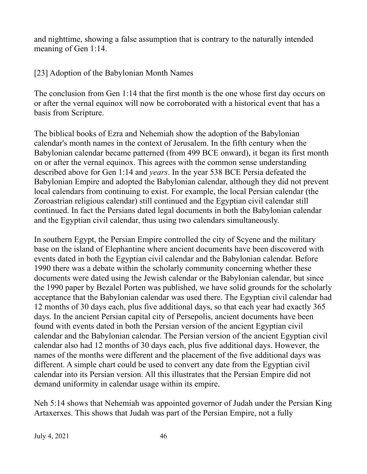and nighttime, showing a false assumption that is contrary to the naturally intended meaning of Gen 1:14.

[23] Adoption of the Babylonian Month Names

The conclusion from Gen 1:14 that the first month is the one whose first day occurs on or after the vernal equinox will now be corroborated with a historical event that has a basis from Scripture.

The biblical books of Ezra and Nehemiah show the adoption of the Babylonian calendar's month names in the context of Jerusalem. In the fifth century when the Babylonian calendar became patterned (from 499 BCE onward), it began its first month on or after the vernal equinox. This agrees with the common sense understanding described above for Gen 1:14 and *years*. In the year 538 BCE Persia defeated the Babylonian Empire and adopted the Babylonian calendar, although they did not prevent local calendars from continuing to exist. For example, the local Persian calendar (the Zoroastrian religious calendar) still continued and the Egyptian civil calendar still continued. In fact the Persians dated legal documents in both the Babylonian calendar and the Egyptian civil calendar, thus using two calendars simultaneously.

In southern Egypt, the Persian Empire controlled the city of Scyene and the military base on the island of Elephantine where ancient documents have been discovered with events dated in both the Egyptian civil calendar and the Babylonian calendar. Before 1990 there was a debate within the scholarly community concerning whether these documents were dated using the Jewish calendar or the Babylonian calendar, but since the 1990 paper by Bezalel Porten was published, we have solid grounds for the scholarly acceptance that the Babylonian calendar was used there. The Egyptian civil calendar had 12 months of 30 days each, plus five additional days, so that each year had exactly 365 days. In the ancient Persian capital city of Persepolis, ancient documents have been found with events dated in both the Persian version of the ancient Egyptian civil calendar and the Babylonian calendar. The Persian version of the ancient Egyptian civil calendar also had 12 months of 30 days each, plus five additional days. However, the names of the months were different and the placement of the five additional days was different. A simple chart could be used to convert any date from the Egyptian civil calendar into its Persian version. All this illustrates that the Persian Empire did not demand uniformity in calendar usage within its empire.

Neh 5:14 shows that Nehemiah was appointed governor of Judah under the Persian King Artaxerxes. This shows that Judah was part of the Persian Empire, not a fully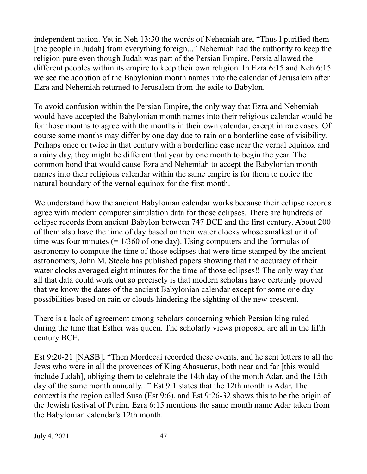independent nation. Yet in Neh 13:30 the words of Nehemiah are, "Thus I purified them [the people in Judah] from everything foreign..." Nehemiah had the authority to keep the religion pure even though Judah was part of the Persian Empire. Persia allowed the different peoples within its empire to keep their own religion. In Ezra 6:15 and Neh 6:15 we see the adoption of the Babylonian month names into the calendar of Jerusalem after Ezra and Nehemiah returned to Jerusalem from the exile to Babylon.

To avoid confusion within the Persian Empire, the only way that Ezra and Nehemiah would have accepted the Babylonian month names into their religious calendar would be for those months to agree with the months in their own calendar, except in rare cases. Of course some months may differ by one day due to rain or a borderline case of visibility. Perhaps once or twice in that century with a borderline case near the vernal equinox and a rainy day, they might be different that year by one month to begin the year. The common bond that would cause Ezra and Nehemiah to accept the Babylonian month names into their religious calendar within the same empire is for them to notice the natural boundary of the vernal equinox for the first month.

We understand how the ancient Babylonian calendar works because their eclipse records agree with modern computer simulation data for those eclipses. There are hundreds of eclipse records from ancient Babylon between 747 BCE and the first century. About 200 of them also have the time of day based on their water clocks whose smallest unit of time was four minutes  $(= 1/360)$  of one day). Using computers and the formulas of astronomy to compute the time of those eclipses that were time-stamped by the ancient astronomers, John M. Steele has published papers showing that the accuracy of their water clocks averaged eight minutes for the time of those eclipses!! The only way that all that data could work out so precisely is that modern scholars have certainly proved that we know the dates of the ancient Babylonian calendar except for some one day possibilities based on rain or clouds hindering the sighting of the new crescent.

There is a lack of agreement among scholars concerning which Persian king ruled during the time that Esther was queen. The scholarly views proposed are all in the fifth century BCE.

Est 9:20-21 [NASB], "Then Mordecai recorded these events, and he sent letters to all the Jews who were in all the provences of King Ahasuerus, both near and far [this would include Judah], obliging them to celebrate the 14th day of the month Adar, and the 15th day of the same month annually..." Est 9:1 states that the 12th month is Adar. The context is the region called Susa (Est 9:6), and Est 9:26-32 shows this to be the origin of the Jewish festival of Purim. Ezra 6:15 mentions the same month name Adar taken from the Babylonian calendar's 12th month.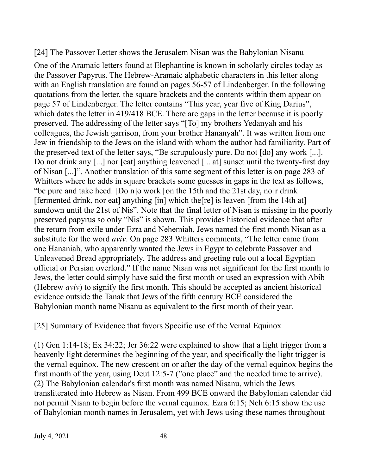[24] The Passover Letter shows the Jerusalem Nisan was the Babylonian Nisanu

One of the Aramaic letters found at Elephantine is known in scholarly circles today as the Passover Papyrus. The Hebrew-Aramaic alphabetic characters in this letter along with an English translation are found on pages 56-57 of Lindenberger. In the following quotations from the letter, the square brackets and the contents within them appear on page 57 of Lindenberger. The letter contains "This year, year five of King Darius", which dates the letter in 419/418 BCE. There are gaps in the letter because it is poorly preserved. The addressing of the letter says "[To] my brothers Yedanyah and his colleagues, the Jewish garrison, from your brother Hananyah". It was written from one Jew in friendship to the Jews on the island with whom the author had familiarity. Part of the preserved text of the letter says, "Be scrupulously pure. Do not [do] any work [...]. Do not drink any [...] nor [eat] anything leavened [... at] sunset until the twenty-first day of Nisan [...]". Another translation of this same segment of this letter is on page 283 of Whitters where he adds in square brackets some guesses in gaps in the text as follows, "be pure and take heed. [Do n]o work [on the 15th and the 21st day, no]r drink [fermented drink, nor eat] anything [in] which the[re] is leaven [from the 14th at] sundown until the 21st of Nis". Note that the final letter of Nisan is missing in the poorly preserved papyrus so only "Nis" is shown. This provides historical evidence that after the return from exile under Ezra and Nehemiah, Jews named the first month Nisan as a substitute for the word *aviv*. On page 283 Whitters comments, "The letter came from one Hananiah, who apparently wanted the Jews in Egypt to celebrate Passover and Unleavened Bread appropriately. The address and greeting rule out a local Egyptian official or Persian overlord." If the name Nisan was not significant for the first month to Jews, the letter could simply have said the first month or used an expression with Abib (Hebrew *aviv*) to signify the first month. This should be accepted as ancient historical evidence outside the Tanak that Jews of the fifth century BCE considered the Babylonian month name Nisanu as equivalent to the first month of their year.

[25] Summary of Evidence that favors Specific use of the Vernal Equinox

(1) Gen 1:14-18; Ex 34:22; Jer 36:22 were explained to show that a light trigger from a heavenly light determines the beginning of the year, and specifically the light trigger is the vernal equinox. The new crescent on or after the day of the vernal equinox begins the first month of the year, using Deut 12:5-7 ("one place" and the needed time to arrive). (2) The Babylonian calendar's first month was named Nisanu, which the Jews transliterated into Hebrew as Nisan. From 499 BCE onward the Babylonian calendar did not permit Nisan to begin before the vernal equinox. Ezra 6:15; Neh 6:15 show the use of Babylonian month names in Jerusalem, yet with Jews using these names throughout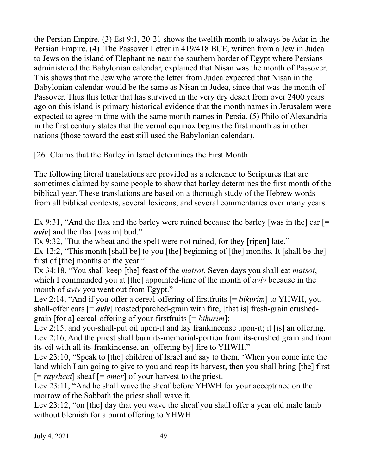the Persian Empire. (3) Est 9:1, 20-21 shows the twelfth month to always be Adar in the Persian Empire. (4) The Passover Letter in 419/418 BCE, written from a Jew in Judea to Jews on the island of Elephantine near the southern border of Egypt where Persians administered the Babylonian calendar, explained that Nisan was the month of Passover. This shows that the Jew who wrote the letter from Judea expected that Nisan in the Babylonian calendar would be the same as Nisan in Judea, since that was the month of Passover. Thus this letter that has survived in the very dry desert from over 2400 years ago on this island is primary historical evidence that the month names in Jerusalem were expected to agree in time with the same month names in Persia. (5) Philo of Alexandria in the first century states that the vernal equinox begins the first month as in other nations (those toward the east still used the Babylonian calendar).

[26] Claims that the Barley in Israel determines the First Month

The following literal translations are provided as a reference to Scriptures that are sometimes claimed by some people to show that barley determines the first month of the biblical year. These translations are based on a thorough study of the Hebrew words from all biblical contexts, several lexicons, and several commentaries over many years.

Ex 9:31, "And the flax and the barley were ruined because the barley [was in the] ear  $[=$ *aviv*] and the flax [was in] bud."

Ex 9:32, "But the wheat and the spelt were not ruined, for they [ripen] late." Ex 12:2, "This month [shall be] to you [the] beginning of [the] months. It [shall be the] first of [the] months of the year."

Ex 34:18, "You shall keep [the] feast of the *matsot*. Seven days you shall eat *matsot*, which I commanded you at [the] appointed-time of the month of *aviv* because in the month of *aviv* you went out from Egypt."

Lev 2:14, "And if you-offer a cereal-offering of firstfruits [= *bikurim*] to YHWH, youshall-offer ears  $[=$  *aviv*] roasted/parched-grain with fire, [that is] fresh-grain crushedgrain [for a] cereal-offering of your-firstfruits [= *bikurim*];

Lev 2:15, and you-shall-put oil upon-it and lay frankincense upon-it; it [is] an offering. Lev 2:16, And the priest shall burn its-memorial-portion from its-crushed grain and from its-oil with all its-frankincense, an [offering by] fire to YHWH."

Lev 23:10, "Speak to [the] children of Israel and say to them, 'When you come into the land which I am going to give to you and reap its harvest, then you shall bring [the] first [= *raysheet*] sheaf [= *omer*] of your harvest to the priest.

Lev 23:11, "And he shall wave the sheaf before YHWH for your acceptance on the morrow of the Sabbath the priest shall wave it,

Lev 23:12, "on [the] day that you wave the sheaf you shall offer a year old male lamb without blemish for a burnt offering to YHWH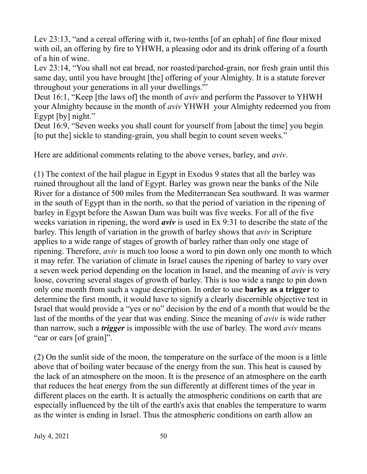Lev 23:13, "and a cereal offering with it, two-tenths [of an ephah] of fine flour mixed with oil, an offering by fire to YHWH, a pleasing odor and its drink offering of a fourth of a hin of wine.

Lev 23:14, "You shall not eat bread, nor roasted/parched-grain, nor fresh grain until this same day, until you have brought [the] offering of your Almighty. It is a statute forever throughout your generations in all your dwellings.'"

Deut 16:1, "Keep [the laws of] the month of *aviv* and perform the Passover to YHWH your Almighty because in the month of *aviv* YHWH your Almighty redeemed you from Egypt [by] night."

Deut 16:9, "Seven weeks you shall count for yourself from [about the time] you begin [to put the] sickle to standing-grain, you shall begin to count seven weeks."

Here are additional comments relating to the above verses, barley, and *aviv*.

(1) The context of the hail plague in Egypt in Exodus 9 states that all the barley was ruined throughout all the land of Egypt. Barley was grown near the banks of the Nile River for a distance of 500 miles from the Mediterranean Sea southward. It was warmer in the south of Egypt than in the north, so that the period of variation in the ripening of barley in Egypt before the Aswan Dam was built was five weeks. For all of the five weeks variation in ripening, the word *aviv* is used in Ex 9:31 to describe the state of the barley. This length of variation in the growth of barley shows that *aviv* in Scripture applies to a wide range of stages of growth of barley rather than only one stage of ripening. Therefore, *aviv* is much too loose a word to pin down only one month to which it may refer. The variation of climate in Israel causes the ripening of barley to vary over a seven week period depending on the location in Israel, and the meaning of *aviv* is very loose, covering several stages of growth of barley. This is too wide a range to pin down only one month from such a vague description. In order to use **barley as a trigger** to determine the first month, it would have to signify a clearly discernible objective test in Israel that would provide a "yes or no" decision by the end of a month that would be the last of the months of the year that was ending. Since the meaning of *aviv* is wide rather than narrow, such a *trigger* is impossible with the use of barley. The word *aviv* means "ear or ears [of grain]".

(2) On the sunlit side of the moon, the temperature on the surface of the moon is a little above that of boiling water because of the energy from the sun. This heat is caused by the lack of an atmosphere on the moon. It is the presence of an atmosphere on the earth that reduces the heat energy from the sun differently at different times of the year in different places on the earth. It is actually the atmospheric conditions on earth that are especially influenced by the tilt of the earth's axis that enables the temperature to warm as the winter is ending in Israel. Thus the atmospheric conditions on earth allow an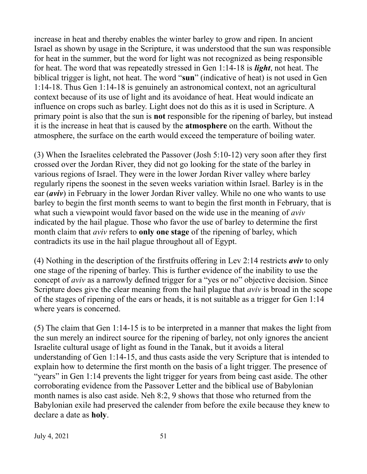increase in heat and thereby enables the winter barley to grow and ripen. In ancient Israel as shown by usage in the Scripture, it was understood that the sun was responsible for heat in the summer, but the word for light was not recognized as being responsible for heat. The word that was repeatedly stressed in Gen 1:14-18 is *light*, not heat. The biblical trigger is light, not heat. The word "**sun**" (indicative of heat) is not used in Gen 1:14-18. Thus Gen 1:14-18 is genuinely an astronomical context, not an agricultural context because of its use of light and its avoidance of heat. Heat would indicate an influence on crops such as barley. Light does not do this as it is used in Scripture. A primary point is also that the sun is **not** responsible for the ripening of barley, but instead it is the increase in heat that is caused by the **atmosphere** on the earth. Without the atmosphere, the surface on the earth would exceed the temperature of boiling water.

(3) When the Israelites celebrated the Passover (Josh 5:10-12) very soon after they first crossed over the Jordan River, they did not go looking for the state of the barley in various regions of Israel. They were in the lower Jordan River valley where barley regularly ripens the soonest in the seven weeks variation within Israel. Barley is in the ear (*aviv*) in February in the lower Jordan River valley. While no one who wants to use barley to begin the first month seems to want to begin the first month in February, that is what such a viewpoint would favor based on the wide use in the meaning of *aviv* indicated by the hail plague. Those who favor the use of barley to determine the first month claim that *aviv* refers to **only one stage** of the ripening of barley, which contradicts its use in the hail plague throughout all of Egypt.

(4) Nothing in the description of the firstfruits offering in Lev 2:14 restricts *aviv* to only one stage of the ripening of barley. This is further evidence of the inability to use the concept of *aviv* as a narrowly defined trigger for a "yes or no" objective decision. Since Scripture does give the clear meaning from the hail plague that *aviv* is broad in the scope of the stages of ripening of the ears or heads, it is not suitable as a trigger for Gen 1:14 where years is concerned.

(5) The claim that Gen 1:14-15 is to be interpreted in a manner that makes the light from the sun merely an indirect source for the ripening of barley, not only ignores the ancient Israelite cultural usage of light as found in the Tanak, but it avoids a literal understanding of Gen 1:14-15, and thus casts aside the very Scripture that is intended to explain how to determine the first month on the basis of a light trigger. The presence of "years" in Gen 1:14 prevents the light trigger for years from being cast aside. The other corroborating evidence from the Passover Letter and the biblical use of Babylonian month names is also cast aside. Neh 8:2, 9 shows that those who returned from the Babylonian exile had preserved the calender from before the exile because they knew to declare a date as **holy**.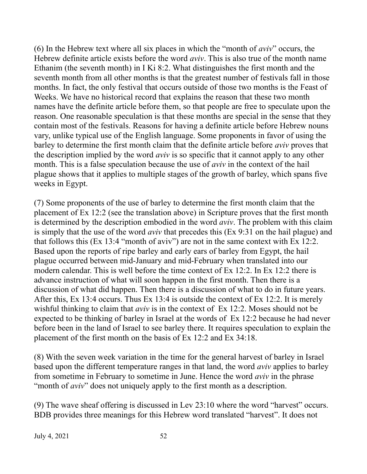(6) In the Hebrew text where all six places in which the "month of *aviv*" occurs, the Hebrew definite article exists before the word *aviv*. This is also true of the month name Ethanim (the seventh month) in I Ki 8:2. What distinguishes the first month and the seventh month from all other months is that the greatest number of festivals fall in those months. In fact, the only festival that occurs outside of those two months is the Feast of Weeks. We have no historical record that explains the reason that these two month names have the definite article before them, so that people are free to speculate upon the reason. One reasonable speculation is that these months are special in the sense that they contain most of the festivals. Reasons for having a definite article before Hebrew nouns vary, unlike typical use of the English language. Some proponents in favor of using the barley to determine the first month claim that the definite article before *aviv* proves that the description implied by the word *aviv* is so specific that it cannot apply to any other month. This is a false speculation because the use of *aviv* in the context of the hail plague shows that it applies to multiple stages of the growth of barley, which spans five weeks in Egypt.

(7) Some proponents of the use of barley to determine the first month claim that the placement of Ex 12:2 (see the translation above) in Scripture proves that the first month is determined by the description embodied in the word *aviv*. The problem with this claim is simply that the use of the word *aviv* that precedes this (Ex 9:31 on the hail plague) and that follows this (Ex 13:4 "month of aviv") are not in the same context with Ex 12:2. Based upon the reports of ripe barley and early ears of barley from Egypt, the hail plague occurred between mid-January and mid-February when translated into our modern calendar. This is well before the time context of Ex 12:2. In Ex 12:2 there is advance instruction of what will soon happen in the first month. Then there is a discussion of what did happen. Then there is a discussion of what to do in future years. After this, Ex 13:4 occurs. Thus Ex 13:4 is outside the context of Ex 12:2. It is merely wishful thinking to claim that *aviv* is in the context of Ex 12:2. Moses should not be expected to be thinking of barley in Israel at the words of Ex 12:2 because he had never before been in the land of Israel to see barley there. It requires speculation to explain the placement of the first month on the basis of Ex 12:2 and Ex 34:18.

(8) With the seven week variation in the time for the general harvest of barley in Israel based upon the different temperature ranges in that land, the word *aviv* applies to barley from sometime in February to sometime in June. Hence the word *aviv* in the phrase "month of *aviv*" does not uniquely apply to the first month as a description.

(9) The wave sheaf offering is discussed in Lev 23:10 where the word "harvest" occurs. BDB provides three meanings for this Hebrew word translated "harvest". It does not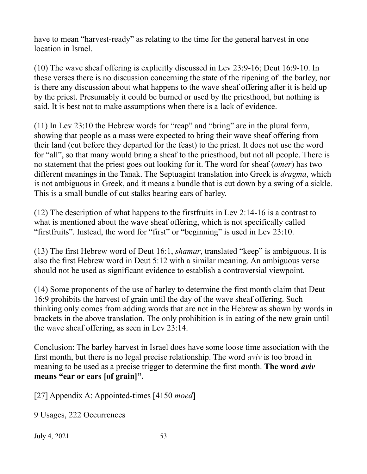have to mean "harvest-ready" as relating to the time for the general harvest in one location in Israel.

(10) The wave sheaf offering is explicitly discussed in Lev 23:9-16; Deut 16:9-10. In these verses there is no discussion concerning the state of the ripening of the barley, nor is there any discussion about what happens to the wave sheaf offering after it is held up by the priest. Presumably it could be burned or used by the priesthood, but nothing is said. It is best not to make assumptions when there is a lack of evidence.

(11) In Lev 23:10 the Hebrew words for "reap" and "bring" are in the plural form, showing that people as a mass were expected to bring their wave sheaf offering from their land (cut before they departed for the feast) to the priest. It does not use the word for "all", so that many would bring a sheaf to the priesthood, but not all people. There is no statement that the priest goes out looking for it. The word for sheaf (*omer*) has two different meanings in the Tanak. The Septuagint translation into Greek is *dragma*, which is not ambiguous in Greek, and it means a bundle that is cut down by a swing of a sickle. This is a small bundle of cut stalks bearing ears of barley.

(12) The description of what happens to the firstfruits in Lev 2:14-16 is a contrast to what is mentioned about the wave sheaf offering, which is not specifically called "firstfruits". Instead, the word for "first" or "beginning" is used in Lev 23:10.

(13) The first Hebrew word of Deut 16:1, *shamar*, translated "keep" is ambiguous. It is also the first Hebrew word in Deut 5:12 with a similar meaning. An ambiguous verse should not be used as significant evidence to establish a controversial viewpoint.

(14) Some proponents of the use of barley to determine the first month claim that Deut 16:9 prohibits the harvest of grain until the day of the wave sheaf offering. Such thinking only comes from adding words that are not in the Hebrew as shown by words in brackets in the above translation. The only prohibition is in eating of the new grain until the wave sheaf offering, as seen in Lev 23:14.

Conclusion: The barley harvest in Israel does have some loose time association with the first month, but there is no legal precise relationship. The word *aviv* is too broad in meaning to be used as a precise trigger to determine the first month. **The word** *aviv* **means "ear or ears [of grain]".**

[27] Appendix A: Appointed-times [4150 *moed*]

9 Usages, 222 Occurrences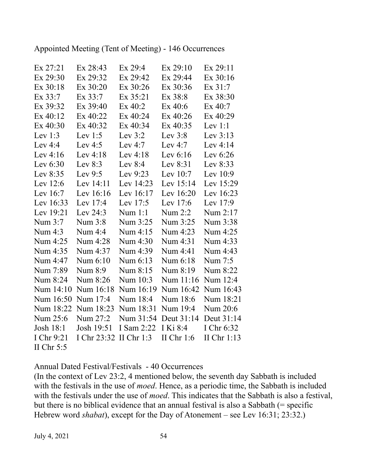Appointed Meeting (Tent of Meeting) - 146 Occurrences

| Ex 27:21     | Ex 28:43    | Ex 29:4      | Ex 29:10     | Ex 29:11      |
|--------------|-------------|--------------|--------------|---------------|
| Ex 29:30     | Ex 29:32    | Ex 29:42     | Ex 29:44     | Ex 30:16      |
| Ex 30:18     | Ex 30:20    | Ex 30:26     | Ex 30:36     | Ex 31:7       |
| Ex 33:7      | Ex 33:7     | Ex 35:21     | Ex 38:8      | Ex 38:30      |
| Ex 39:32     | Ex 39:40    | Ex 40:2      | Ex 40:6      | $Ex$ 40:7     |
| Ex 40:12     | Ex 40:22    | Ex 40:24     | Ex 40:26     | Ex 40:29      |
| $Ex\,40:30$  | Ex 40:32    | Ex 40:34     | Ex 40:35     | Lev $1:1$     |
| Lev $1:3$    | Lev $1:5$   | Lev $3:2$    | Lev $3:8$    | Lev $3:13$    |
| Lev $4:4$    | Lev $4:5$   | Lev $4:7$    | Lev $4:7$    | Lev $4:14$    |
| Lev $4:16$   | Lev $4:18$  | Lev $4:18$   | Lev $6:16$   | Lev $6:26$    |
| Lev $6:30$   | Lev $8:3$   | Lev $8:4$    | Lev 8:31     | Lev 8:33      |
| Lev 8:35     | Lev $9:5$   | Lev $9:23$   | Lev $10:7$   | Lev $10:9$    |
| Lev $12:6$   | Lev 14:11   | Lev 14:23    | Lev 15:14    | Lev 15:29     |
| Lev 16:7     | Lev 16:16   | Lev 16:17    | Lev 16:20    | Lev 16:23     |
| Lev 16:33    | Lev 17:4    | Lev 17:5     | Lev 17:6     | Lev 17:9      |
| Lev 19:21    | Lev $24:3$  | Num 1:1      | Num 2:2      | Num 2:17      |
| Num 3:7      | Num 3:8     | Num 3:25     | Num 3:25     | Num 3:38      |
| Num 4:3      | Num 4:4     | Num 4:15     | Num 4:23     | Num 4:25      |
| Num 4:25     | Num 4:28    | Num 4:30     | Num 4:31     | Num 4:33      |
| Num 4:35     | Num 4:37    | Num 4:39     | Num 4:41     | Num 4:43      |
| Num 4:47     | Num 6:10    | Num 6:13     | Num 6:18     | Num 7:5       |
| Num 7:89     | Num 8:9     | Num 8:15     | Num 8:19     | Num 8:22      |
| Num 8:24     | Num 8:26    | Num 10:3     | Num 11:16    | Num 12:4      |
| Num 14:10    | Num 16:18   | Num 16:19    | Num 16:42    | Num 16:43     |
| Num 16:50    | Num 17:4    | Num 18:4     | Num 18:6     | Num 18:21     |
| Num 18:22    | Num 18:23   | Num 18:31    | Num 19:4     | Num 20:6      |
| Num 25:6     | Num 27:2    | Num 31:54    | Deut 31:14   | Deut 31:14    |
| Josh 18:1    | Josh 19:51  | I Sam 2:22   | I Ki 8:4     | I Chr 6:32    |
| I Chr 9:21   | I Chr 23:32 | II Chr $1:3$ | II Chr $1:6$ | II Chr $1:13$ |
| II Chr $5:5$ |             |              |              |               |

Annual Dated Festival/Festivals - 40 Occurrences

(In the context of Lev 23:2, 4 mentioned below, the seventh day Sabbath is included with the festivals in the use of *moed*. Hence, as a periodic time, the Sabbath is included with the festivals under the use of *moed*. This indicates that the Sabbath is also a festival, but there is no biblical evidence that an annual festival is also a Sabbath (= specific Hebrew word *shabat*), except for the Day of Atonement – see Lev 16:31; 23:32.)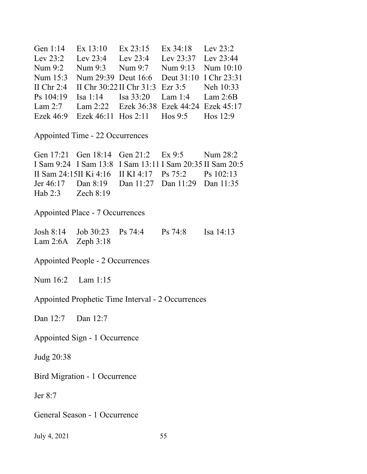| Gen 1:14 Ex 13:10 Ex 23:15 Ex 34:18 Lev 23:2          |  |  |
|-------------------------------------------------------|--|--|
| Lev 23:2 Lev 23:4 Lev 23:4 Lev 23:37 Lev 23:44        |  |  |
| Num 9:2 Num 9:3 Num 9:7 Num 9:13 Num 10:10            |  |  |
| Num 15:3 Num 29:39 Deut 16:6 Deut 31:10 I Chr 23:31   |  |  |
| II Chr 2:4 II Chr 30:22 II Chr 31:3 Ezr 3:5 Neh 10:33 |  |  |
| Ps 104:19 Isa 1:14 Isa 33:20 Lam 1:4 Lam 2:6B         |  |  |
| Lam 2:7 Lam 2:22 Ezek 36:38 Ezek 44:24 Ezek 45:17     |  |  |
| Ezek 46:9 Ezek 46:11 Hos 2:11 Hos 9:5 Hos 12:9        |  |  |

Appointed Time - 22 Occurrences

Gen 17:21 Gen 18:14 Gen 21:2 Ex 9:5 Num 28:2 I Sam 9:24 I Sam 13:8 I Sam 13:11 I Sam 20:35 II Sam 20:5 II Sam 24:15II Ki 4:16 II KI 4:17 Ps 75:2 Ps 102:13 Jer 46:17 Dan 8:19 Dan 11:27 Dan 11:29 Dan 11:35 Hab 2:3 Zech 8:19

Appointed Place - 7 Occurrences

Josh 8:14 Job 30:23 Ps 74:4 Ps 74:8 Isa 14:13 Lam 2:6A Zeph 3:18

Appointed People - 2 Occurrences

Num 16:2 Lam 1:15

Appointed Prophetic Time Interval - 2 Occurrences

Dan 12:7 Dan 12:7

Appointed Sign - 1 Occurrence

Judg 20:38

Bird Migration - 1 Occurrence

Jer 8:7

General Season - 1 Occurrence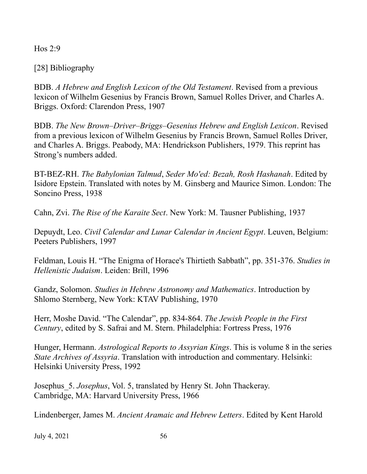Hos 2:9

[28] Bibliography

BDB. *A Hebrew and English Lexicon of the Old Testament*. Revised from a previous lexicon of Wilhelm Gesenius by Francis Brown, Samuel Rolles Driver, and Charles A. Briggs. Oxford: Clarendon Press, 1907

BDB. *The New Brown–Driver–Briggs–Gesenius Hebrew and English Lexicon*. Revised from a previous lexicon of Wilhelm Gesenius by Francis Brown, Samuel Rolles Driver, and Charles A. Briggs. Peabody, MA: Hendrickson Publishers, 1979. This reprint has Strong's numbers added.

BT-BEZ-RH. *The Babylonian Talmud*, *Seder Mo'ed: Bezah, Rosh Hashanah*. Edited by Isidore Epstein. Translated with notes by M. Ginsberg and Maurice Simon. London: The Soncino Press, 1938

Cahn, Zvi. *The Rise of the Karaite Sect*. New York: M. Tausner Publishing, 1937

Depuydt, Leo. *Civil Calendar and Lunar Calendar in Ancient Egypt*. Leuven, Belgium: Peeters Publishers, 1997

Feldman, Louis H. "The Enigma of Horace's Thirtieth Sabbath", pp. 351-376. *Studies in Hellenistic Judaism*. Leiden: Brill, 1996

Gandz, Solomon. *Studies in Hebrew Astronomy and Mathematics*. Introduction by Shlomo Sternberg, New York: KTAV Publishing, 1970

Herr, Moshe David. "The Calendar", pp. 834-864. *The Jewish People in the First Century*, edited by S. Safrai and M. Stern. Philadelphia: Fortress Press, 1976

Hunger, Hermann. *Astrological Reports to Assyrian Kings*. This is volume 8 in the series *State Archives of Assyria*. Translation with introduction and commentary. Helsinki: Helsinki University Press, 1992

Josephus\_5. *Josephus*, Vol. 5, translated by Henry St. John Thackeray. Cambridge, MA: Harvard University Press, 1966

Lindenberger, James M. *Ancient Aramaic and Hebrew Letters*. Edited by Kent Harold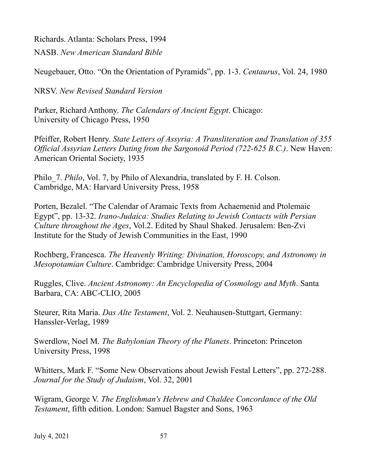Richards. Atlanta: Scholars Press, 1994 NASB. *New American Standard Bible*

Neugebauer, Otto. "On the Orientation of Pyramids", pp. 1-3. *Centaurus*, Vol. 24, 1980

NRSV. *New Revised Standard Version*

Parker, Richard Anthony. *The Calendars of Ancient Egypt*. Chicago: University of Chicago Press, 1950

Pfeiffer, Robert Henry. *State Letters of Assyria: A Transliteration and Translation of 355 Official Assyrian Letters Dating from the Sargonoid Period (722-625 B.C.)*. New Haven: American Oriental Society, 1935

Philo\_7. *Philo*, Vol. 7, by Philo of Alexandria, translated by F. H. Colson. Cambridge, MA: Harvard University Press, 1958

Porten, Bezalel. "The Calendar of Aramaic Texts from Achaemenid and Ptolemaic Egypt", pp. 13-32. *Irano-Judaica: Studies Relating to Jewish Contacts with Persian Culture throughout the Ages*, Vol.2. Edited by Shaul Shaked. Jerusalem: Ben-Zvi Institute for the Study of Jewish Communities in the East, 1990

Rochberg, Francesca. *The Heavenly Writing: Divination, Horoscopy, and Astronomy in Mesopotamian Culture*. Cambridge: Cambridge University Press, 2004

Ruggles, Clive. *Ancient Astronomy: An Encyclopedia of Cosmology and Myth*. Santa Barbara, CA: ABC-CLIO, 2005

Steurer, Rita Maria. *Das Alte Testament*, Vol. 2. Neuhausen-Stuttgart, Germany: Hanssler-Verlag, 1989

Swerdlow, Noel M. *The Babylonian Theory of the Planets*. Princeton: Princeton University Press, 1998

Whitters, Mark F. "Some New Observations about Jewish Festal Letters", pp. 272-288. *Journal for the Study of Judaism*, Vol. 32, 2001

Wigram, George V. *The Englishman's Hebrew and Chaldee Concordance of the Old Testament*, fifth edition. London: Samuel Bagster and Sons, 1963